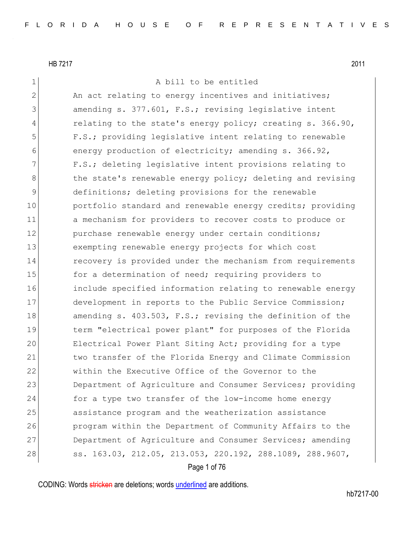1 A bill to be entitled

2 An act relating to energy incentives and initiatives; 3 3 amending s. 377.601, F.S.; revising legislative intent 4 relating to the state's energy policy; creating s. 366.90, 5 F.S.; providing legislative intent relating to renewable 6 energy production of electricity; amending s. 366.92, 7 F.S.; deleting legislative intent provisions relating to 8 black the state's renewable energy policy; deleting and revising 9 definitions; deleting provisions for the renewable 10 **portfolio standard and renewable energy credits; providing** 11 a mechanism for providers to recover costs to produce or 12 purchase renewable energy under certain conditions; 13 exempting renewable energy projects for which cost 14 recovery is provided under the mechanism from requirements 15 **for a determination of need; requiring providers to** 16 include specified information relating to renewable energy 17 development in reports to the Public Service Commission; 18 amending s. 403.503, F.S.; revising the definition of the 19 term "electrical power plant" for purposes of the Florida 20 Electrical Power Plant Siting Act; providing for a type 21 two transfer of the Florida Energy and Climate Commission 22 within the Executive Office of the Governor to the 23 Department of Agriculture and Consumer Services; providing 24 for a type two transfer of the low-income home energy 25 assistance program and the weatherization assistance 26 program within the Department of Community Affairs to the 27 Department of Agriculture and Consumer Services; amending 28 ss. 163.03, 212.05, 213.053, 220.192, 288.1089, 288.9607,

Page 1 of 76

CODING: Words stricken are deletions; words underlined are additions.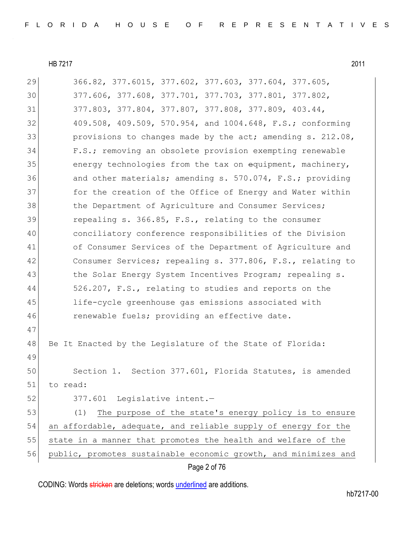| 29 | 366.82, 377.6015, 377.602, 377.603, 377.604, 377.605,           |
|----|-----------------------------------------------------------------|
| 30 | 377.606, 377.608, 377.701, 377.703, 377.801, 377.802,           |
| 31 | 377.803, 377.804, 377.807, 377.808, 377.809, 403.44,            |
| 32 | 409.508, 409.509, 570.954, and 1004.648, F.S.; conforming       |
| 33 | provisions to changes made by the act; amending s. 212.08,      |
| 34 | F.S.; removing an obsolete provision exempting renewable        |
| 35 | energy technologies from the tax on equipment, machinery,       |
| 36 | and other materials; amending s. 570.074, F.S.; providing       |
| 37 | for the creation of the Office of Energy and Water within       |
| 38 | the Department of Agriculture and Consumer Services;            |
| 39 | repealing s. 366.85, F.S., relating to the consumer             |
| 40 | conciliatory conference responsibilities of the Division        |
| 41 | of Consumer Services of the Department of Agriculture and       |
| 42 | Consumer Services; repealing s. 377.806, F.S., relating to      |
| 43 | the Solar Energy System Incentives Program; repealing s.        |
| 44 | 526.207, F.S., relating to studies and reports on the           |
| 45 | life-cycle greenhouse gas emissions associated with             |
| 46 | renewable fuels; providing an effective date.                   |
| 47 |                                                                 |
| 48 | Be It Enacted by the Legislature of the State of Florida:       |
| 49 |                                                                 |
| 50 | Section 1. Section 377.601, Florida Statutes, is amended        |
| 51 | to read:                                                        |
| 52 | 377.601 Legislative intent.-                                    |
| 53 | The purpose of the state's energy policy is to ensure<br>(1)    |
| 54 | an affordable, adequate, and reliable supply of energy for the  |
| 55 | state in a manner that promotes the health and welfare of the   |
| 56 | public, promotes sustainable economic growth, and minimizes and |
|    | Page 2 of 76                                                    |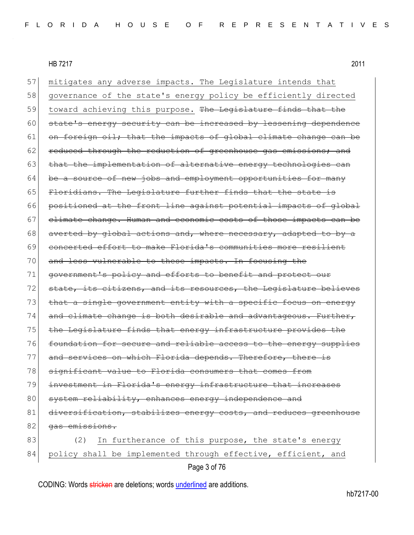| 57 | mitigates any adverse impacts. The Legislature intends that      |
|----|------------------------------------------------------------------|
| 58 | governance of the state's energy policy be efficiently directed  |
| 59 | toward achieving this purpose. The Legislature finds that the    |
| 60 | state's energy security can be increased by lessening dependence |
| 61 | on foreign oil; that the impacts of global climate change can be |
| 62 | reduced through the reduction of greenhouse gas emissions; and   |
| 63 | that the implementation of alternative energy technologies can   |
| 64 | be a source of new jobs and employment opportunities for many    |
| 65 | Floridians. The Legislature further finds that the state is      |
| 66 | positioned at the front line against potential impacts of global |
| 67 | elimate change. Human and economic costs of those impacts can be |
| 68 | averted by global actions and, where necessary, adapted to by a  |
| 69 | concerted effort to make Florida's communities more resilient    |
| 70 | and less vulnerable to these impacts. In focusing the            |
| 71 | government's policy and efforts to benefit and protect our       |
| 72 | state, its citizens, and its resources, the Legislature believes |
| 73 | that a single government entity with a specific focus on energy  |
| 74 | and climate change is both desirable and advantageous. Further,  |
| 75 | the Legislature finds that energy infrastructure provides the    |
| 76 | foundation for secure and reliable access to the energy supplies |
| 77 | and services on which Florida depends. Therefore, there is       |
| 78 | significant value to Florida consumers that comes from           |
| 79 | investment in Florida's energy infrastructure that increases     |
| 80 | system reliability, enhances energy independence and             |
| 81 | diversification, stabilizes energy costs, and reduces greenhouse |
| 82 | gas emissions.                                                   |
| 83 | (2)<br>In furtherance of this purpose, the state's energy        |
| 84 | policy shall be implemented through effective, efficient, and    |
|    | Page 3 of 76                                                     |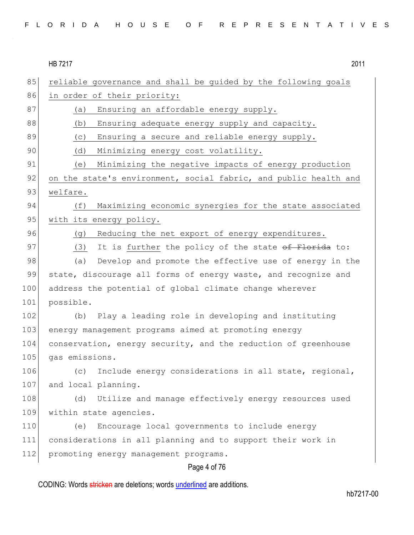|  | FLORIDA HOUSE OF REPRESENTATIVES |
|--|----------------------------------|
|--|----------------------------------|

| 85  | reliable governance and shall be guided by the following goals   |
|-----|------------------------------------------------------------------|
| 86  | in order of their priority:                                      |
| 87  | Ensuring an affordable energy supply.<br>(a)                     |
| 88  | Ensuring adequate energy supply and capacity.<br>(b)             |
| 89  | Ensuring a secure and reliable energy supply.<br>(C)             |
| 90  | Minimizing energy cost volatility.<br>(d)                        |
| 91  | Minimizing the negative impacts of energy production<br>(e)      |
| 92  | on the state's environment, social fabric, and public health and |
| 93  | welfare.                                                         |
| 94  | Maximizing economic synergies for the state associated<br>(f)    |
| 95  | with its energy policy.                                          |
| 96  | Reducing the net export of energy expenditures.<br>(g)           |
| 97  | It is further the policy of the state of Florida to:<br>(3)      |
| 98  | Develop and promote the effective use of energy in the<br>(a)    |
| 99  | state, discourage all forms of energy waste, and recognize and   |
| 100 | address the potential of global climate change wherever          |
| 101 | possible.                                                        |
| 102 | Play a leading role in developing and instituting<br>(b)         |
| 103 | energy management programs aimed at promoting energy             |
| 104 | conservation, energy security, and the reduction of greenhouse   |
| 105 | gas emissions.                                                   |
| 106 | Include energy considerations in all state, regional,<br>(C)     |
| 107 | and local planning.                                              |
| 108 | Utilize and manage effectively energy resources used<br>(d)      |
| 109 | within state agencies.                                           |
| 110 | Encourage local governments to include energy<br>(e)             |
| 111 | considerations in all planning and to support their work in      |
| 112 | promoting energy management programs.                            |
|     | Page 4 of 76                                                     |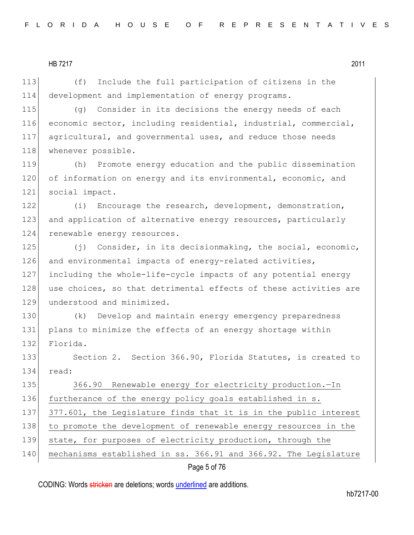113 (f) Include the full participation of citizens in the 114 development and implementation of energy programs.

115 (g) Consider in its decisions the energy needs of each 116 economic sector, including residential, industrial, commercial, 117 agricultural, and governmental uses, and reduce those needs 118 whenever possible.

119 (h) Promote energy education and the public dissemination 120 of information on energy and its environmental, economic, and 121 social impact.

122 (i) Encourage the research, development, demonstration, 123 and application of alternative energy resources, particularly 124 renewable energy resources.

125 (j) Consider, in its decisionmaking, the social, economic, 126 and environmental impacts of energy-related activities, 127 including the whole-life-cycle impacts of any potential energy 128 use choices, so that detrimental effects of these activities are 129 understood and minimized.

130 (k) Develop and maintain energy emergency preparedness 131 plans to minimize the effects of an energy shortage within 132 Florida.

133 Section 2. Section 366.90, Florida Statutes, is created to 134 read:

135 366.90 Renewable energy for electricity production.-In 136 furtherance of the energy policy goals established in s. 137 377.601, the Legislature finds that it is in the public interest 138 to promote the development of renewable energy resources in the 139 state, for purposes of electricity production, through the 140 mechanisms established in ss. 366.91 and 366.92. The Legislature

## Page 5 of 76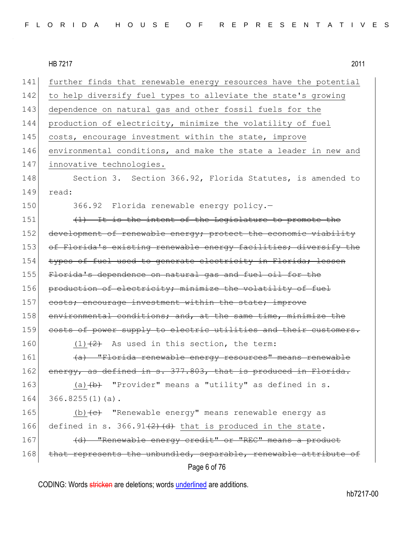|--|

| 141 | further finds that renewable energy resources have the potential |
|-----|------------------------------------------------------------------|
| 142 | to help diversify fuel types to alleviate the state's growing    |
| 143 | dependence on natural gas and other fossil fuels for the         |
| 144 | production of electricity, minimize the volatility of fuel       |
| 145 | costs, encourage investment within the state, improve            |
| 146 | environmental conditions, and make the state a leader in new and |
| 147 | innovative technologies.                                         |
| 148 | Section 3. Section 366.92, Florida Statutes, is amended to       |
| 149 | read:                                                            |
| 150 | 366.92 Florida renewable energy policy.-                         |
| 151 | (1) It is the intent of the Legislature to promote the           |
| 152 | development of renewable energy; protect the economic viability  |
| 153 | of Florida's existing renewable energy facilities; diversify the |
| 154 | types of fuel used to generate electricity in Florida; lessen    |
| 155 | Florida's dependence on natural gas and fuel oil for the         |
| 156 | production of electricity; minimize the volatility of fuel       |
| 157 | costs; encourage investment within the state; improve            |
| 158 | environmental conditions; and, at the same time, minimize the    |
| 159 | costs of power supply to electric utilities and their customers. |
| 160 | $(1)$ $(2)$ As used in this section, the term:                   |
| 161 | (a) "Florida renewable energy resources" means renewable         |
| 162 | energy, as defined in s. 377.803, that is produced in Florida.   |
| 163 | (a) $(b)$ "Provider" means a "utility" as defined in s.          |
| 164 | $366.8255(1)(a)$ .                                               |
| 165 | (b) (e) "Renewable energy" means renewable energy as             |
| 166 | defined in s. $366.91(2)$ (d) that is produced in the state.     |
| 167 | (d) "Renewable energy credit" or "REC" means a product           |
|     |                                                                  |
| 168 | that represents the unbundled, separable, renewable attribute of |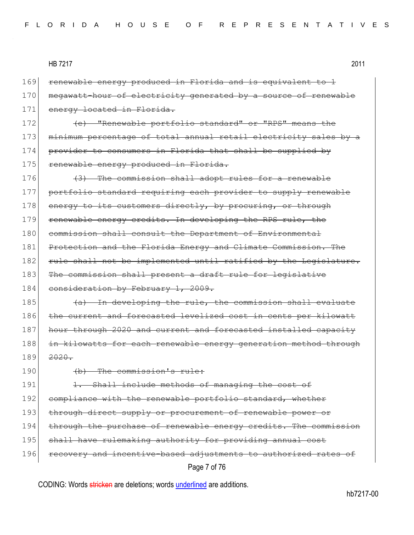169 renewable energy produced in Florida and is equivalent to 1 170 megawatt-hour of electricity generated by a source of renewable 171 energy located in Florida. 172 **(e)** "Renewable portfolio standard" or "RPS" means the 173 minimum percentage of total annual retail electricity sales by a 174 provider to consumers in Florida that shall be supplied by 175 renewable energy produced in Florida. 176  $(3)$  The commission shall adopt rules for a renewable 177 portfolio standard requiring each provider to supply renewable 178 energy to its customers directly, by procuring, or through 179 renewable energy credits. In developing the RPS rule, the 180 commission shall consult the Department of Environmental 181 Protection and the Florida Energy and Climate Commission. The 182 rule shall not be implemented until ratified by the Legislature. 183 The commission shall present a draft rule for legislative 184 consideration by February 1, 2009. 185  $(a)$  In developing the rule, the commission shall evaluate 186 the current and forecasted levelized cost in cents per kilowatt 187 hour through 2020 and current and forecasted installed capacity 188 in kilowatts for each renewable energy generation method through 189 <del>2020.</del>

190 (b) The commission's rule:

Page 7 of 76 191 1. Shall include methods of managing the cost of 192 compliance with the renewable portfolio standard, whether 193 through direct supply or procurement of renewable power or 194 through the purchase of renewable energy credits. The commission 195 shall have rulemaking authority for providing annual cost 196 recovery and incentive-based adjustments to authorized rates of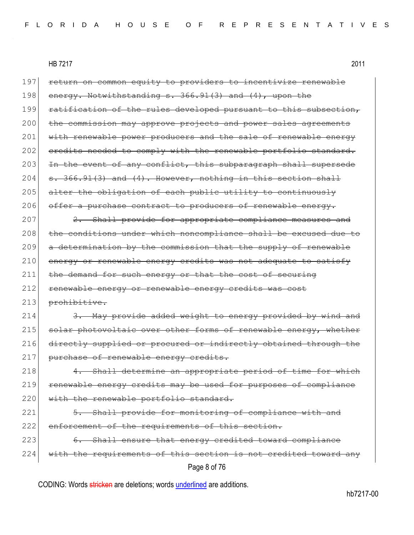Page 8 of 76 197 return on common equity to providers to incentivize renewable 198 energy. Notwithstanding  $s. 366.91(3)$  and  $(4)$ , upon the 199 ratification of the rules developed pursuant to this subsection, 200 the commission may approve projects and power sales agreements 201 with renewable power producers and the sale of renewable energy 202 credits needed to comply with the renewable portfolio standard. 203 In the event of any conflict, this subparagraph shall supersede 204  $\left| \begin{array}{cc} 1.366.91(3) & \text{and} & (4) \\ 0.4000 & \text{and} & (4) \end{array} \right.$  However, nothing in this section shall 205 alter the obligation of each public utility to continuously 206 offer a purchase contract to producers of renewable energy.  $207$   $2.$  Shall provide for appropriate compliance measures and 208 the conditions under which noncompliance shall be excused due to 209 a determination by the commission that the supply of renewable 210 energy or renewable energy credits was not adequate to satisfy 211 the demand for such energy or that the cost of securing 212 renewable energy or renewable energy credits was cost 213 prohibitive. 214 3. May provide added weight to energy provided by wind and 215 solar photovoltaic over other forms of renewable energy, whether 216 directly supplied or procured or indirectly obtained through the 217 purchase of renewable energy credits.  $218$  4. Shall determine an appropriate period of time for which 219 renewable energy credits may be used for purposes of compliance 220 | with the renewable portfolio standard. 221 5. Shall provide for monitoring of compliance with and 222 enforcement of the requirements of this section. 223 6. Shall ensure that energy credited toward compliance 224 with the requirements of this section is not credited toward any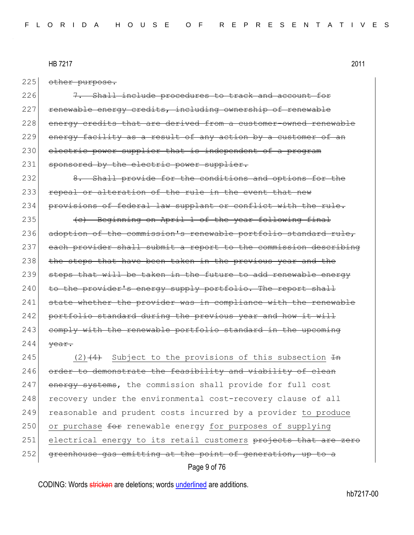225 other purpose.

226 7. Shall include procedures to track and account for 227 renewable energy credits, including ownership of renewable 228 energy credits that are derived from a customer-owned renewable 229 energy facility as a result of any action by a customer of an 230 electric power supplier that is independent of a program 231 sponsored by the electric power supplier.

232 8. Shall provide for the conditions and options for the 233 repeal or alteration of the rule in the event that new 234 provisions of federal law supplant or conflict with the rule.

235 (c) Beginning on April 1 of the year following final 236 adoption of the commission's renewable portfolio standard rule, 237 each provider shall submit a report to the commission describing 238 the steps that have been taken in the previous year and the 239 steps that will be taken in the future to add renewable energy 240 to the provider's energy supply portfolio. The report shall 241 state whether the provider was in compliance with the renewable 242 portfolio standard during the previous year and how it will 243 comply with the renewable portfolio standard in the upcoming  $244$  <del>year.</del>

245 (2) $(4)$  Subject to the provisions of this subsection  $\text{Im }$ 246 order to demonstrate the feasibility and viability of clean 247 energy systems, the commission shall provide for full cost 248 recovery under the environmental cost-recovery clause of all 249 reasonable and prudent costs incurred by a provider to produce 250 or purchase for renewable energy for purposes of supplying 251 electrical energy to its retail customers projects that are zero 252 greenhouse gas emitting at the point of generation, up to a

Page 9 of 76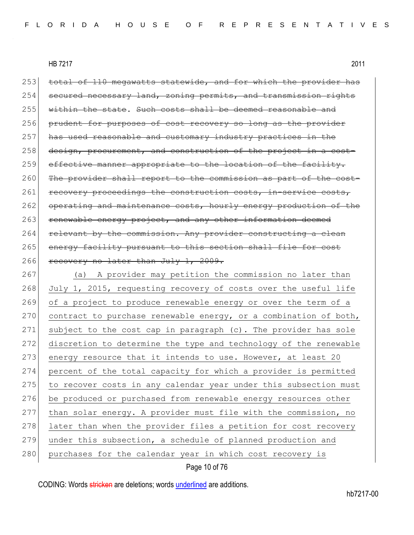| 253 | total of 110 megawatts statewide, and for which the provider has |
|-----|------------------------------------------------------------------|
| 254 | secured necessary land, zoning permits, and transmission rights  |
| 255 | within the state. Such costs shall be deemed reasonable and      |
| 256 | prudent for purposes of cost recovery so long as the provider    |
| 257 | has used reasonable and customary industry practices in the      |
| 258 | design, procurement, and construction of the project in a cost-  |
| 259 | effective manner appropriate to the location of the facility.    |
| 260 | The provider shall report to the commission as part of the cost- |
| 261 | recovery proceedings the construction costs, in-service costs,   |
| 262 | operating and maintenance costs, hourly energy production of the |
| 263 | renewable energy project, and any other information deemed       |
| 264 | relevant by the commission. Any provider constructing a clean    |
| 265 | energy facility pursuant to this section shall file for cost     |
| 266 | recovery no later than July 1, 2009.                             |
| 267 | A provider may petition the commission no later than<br>(a)      |
| 268 | July 1, 2015, requesting recovery of costs over the useful life  |
| 269 | of a project to produce renewable energy or over the term of a   |
| 270 | contract to purchase renewable energy, or a combination of both, |
| 271 | subject to the cost cap in paragraph (c). The provider has sole  |
| 272 | discretion to determine the type and technology of the renewable |
| 273 | energy resource that it intends to use. However, at least 20     |
| 274 |                                                                  |
|     | percent of the total capacity for which a provider is permitted  |
| 275 | to recover costs in any calendar year under this subsection must |
| 276 | be produced or purchased from renewable energy resources other   |
| 277 | than solar energy. A provider must file with the commission, no  |
| 278 | later than when the provider files a petition for cost recovery  |
| 279 | under this subsection, a schedule of planned production and      |
| 280 | purchases for the calendar year in which cost recovery is        |

## Page 10 of 76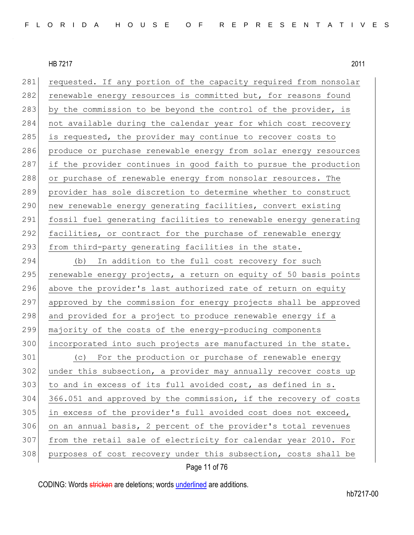281 requested. If any portion of the capacity required from nonsolar 282 renewable energy resources is committed but, for reasons found 283 by the commission to be beyond the control of the provider, is 284 not available during the calendar year for which cost recovery 285 is requested, the provider may continue to recover costs to 286 produce or purchase renewable energy from solar energy resources 287 if the provider continues in good faith to pursue the production 288 or purchase of renewable energy from nonsolar resources. The 289 provider has sole discretion to determine whether to construct 290 new renewable energy generating facilities, convert existing 291 fossil fuel generating facilities to renewable energy generating 292 facilities, or contract for the purchase of renewable energy 293 from third-party generating facilities in the state. 294 (b) In addition to the full cost recovery for such 295 renewable energy projects, a return on equity of 50 basis points 296 above the provider's last authorized rate of return on equity 297 approved by the commission for energy projects shall be approved 298 and provided for a project to produce renewable energy if a 299 majority of the costs of the energy-producing components 300 incorporated into such projects are manufactured in the state. 301 (c) For the production or purchase of renewable energy 302 under this subsection, a provider may annually recover costs up 303 to and in excess of its full avoided cost, as defined in s. 304 366.051 and approved by the commission, if the recovery of costs 305 in excess of the provider's full avoided cost does not exceed, 306 on an annual basis, 2 percent of the provider's total revenues 307 from the retail sale of electricity for calendar year 2010. For 308 purposes of cost recovery under this subsection, costs shall be

Page 11 of 76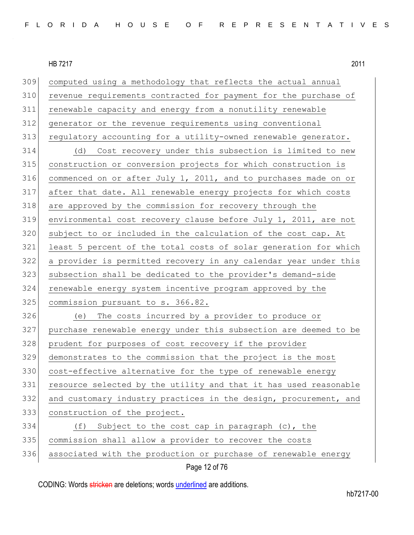| 309 | computed using a methodology that reflects the actual annual     |
|-----|------------------------------------------------------------------|
| 310 | revenue requirements contracted for payment for the purchase of  |
| 311 | renewable capacity and energy from a nonutility renewable        |
| 312 | generator or the revenue requirements using conventional         |
| 313 | regulatory accounting for a utility-owned renewable generator.   |
| 314 | (d) Cost recovery under this subsection is limited to new        |
| 315 | construction or conversion projects for which construction is    |
| 316 | commenced on or after July 1, 2011, and to purchases made on or  |
| 317 | after that date. All renewable energy projects for which costs   |
| 318 | are approved by the commission for recovery through the          |
| 319 | environmental cost recovery clause before July 1, 2011, are not  |
| 320 | subject to or included in the calculation of the cost cap. At    |
| 321 | least 5 percent of the total costs of solar generation for which |
| 322 | a provider is permitted recovery in any calendar year under this |
| 323 | subsection shall be dedicated to the provider's demand-side      |
| 324 | renewable energy system incentive program approved by the        |
| 325 | commission pursuant to s. 366.82.                                |
| 326 | The costs incurred by a provider to produce or<br>(e)            |
| 327 | purchase renewable energy under this subsection are deemed to be |
| 328 | prudent for purposes of cost recovery if the provider            |
| 329 | demonstrates to the commission that the project is the most      |
| 330 | cost-effective alternative for the type of renewable energy      |
| 331 | resource selected by the utility and that it has used reasonable |
| 332 | and customary industry practices in the design, procurement, and |
| 333 | construction of the project.                                     |
| 334 | Subject to the cost cap in paragraph (c), the<br>(f)             |
| 335 | commission shall allow a provider to recover the costs           |
| 336 | associated with the production or purchase of renewable energy   |
|     | Page 12 of 76                                                    |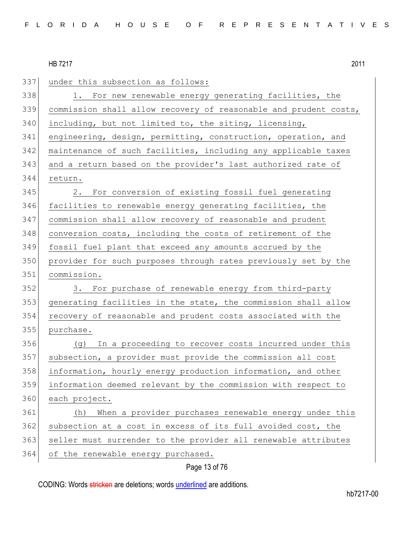| 337 | under this subsection as follows:                                |
|-----|------------------------------------------------------------------|
| 338 | 1. For new renewable energy generating facilities, the           |
| 339 | commission shall allow recovery of reasonable and prudent costs, |
| 340 | including, but not limited to, the siting, licensing,            |
| 341 | engineering, design, permitting, construction, operation, and    |
| 342 | maintenance of such facilities, including any applicable taxes   |
| 343 | and a return based on the provider's last authorized rate of     |
| 344 | return.                                                          |
| 345 | For conversion of existing fossil fuel generating<br>2.          |
| 346 | facilities to renewable energy generating facilities, the        |
| 347 | commission shall allow recovery of reasonable and prudent        |
| 348 | conversion costs, including the costs of retirement of the       |
| 349 | fossil fuel plant that exceed any amounts accrued by the         |
| 350 | provider for such purposes through rates previously set by the   |
| 351 | commission.                                                      |
| 352 | 3. For purchase of renewable energy from third-party             |
| 353 | generating facilities in the state, the commission shall allow   |
| 354 | recovery of reasonable and prudent costs associated with the     |
| 355 | purchase.                                                        |
| 356 | In a proceeding to recover costs incurred under this<br>(q)      |
| 357 | subsection, a provider must provide the commission all cost      |
| 358 | information, hourly energy production information, and other     |
| 359 | information deemed relevant by the commission with respect to    |
| 360 | each project.                                                    |
| 361 | When a provider purchases renewable energy under this<br>(h)     |
| 362 | subsection at a cost in excess of its full avoided cost, the     |
| 363 | seller must surrender to the provider all renewable attributes   |
| 364 | of the renewable energy purchased.                               |

# Page 13 of 76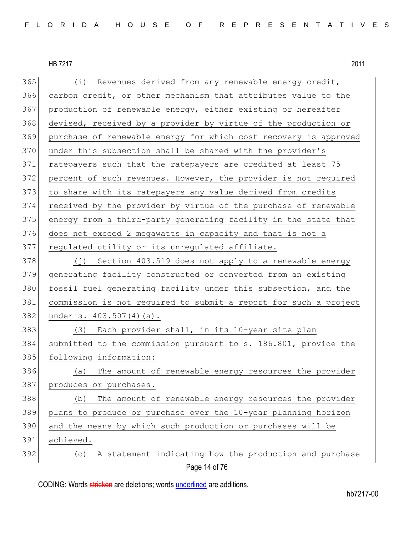365 (i) Revenues derived from any renewable energy credit, 366 carbon credit, or other mechanism that attributes value to the 367 production of renewable energy, either existing or hereafter 368 devised, received by a provider by virtue of the production or 369 purchase of renewable energy for which cost recovery is approved 370 under this subsection shall be shared with the provider's 371 ratepayers such that the ratepayers are credited at least 75 372 percent of such revenues. However, the provider is not required 373 to share with its ratepayers any value derived from credits 374 received by the provider by virtue of the purchase of renewable 375 energy from a third-party generating facility in the state that 376 does not exceed 2 megawatts in capacity and that is not a 377 regulated utility or its unregulated affiliate. 378 (j) Section 403.519 does not apply to a renewable energy 379 generating facility constructed or converted from an existing 380 fossil fuel generating facility under this subsection, and the 381 commission is not required to submit a report for such a project 382 under s. 403.507(4)(a). 383 (3) Each provider shall, in its 10-year site plan 384 submitted to the commission pursuant to s. 186.801, provide the 385 following information: 386 (a) The amount of renewable energy resources the provider 387 produces or purchases. 388 (b) The amount of renewable energy resources the provider 389 plans to produce or purchase over the 10-year planning horizon 390 and the means by which such production or purchases will be 391 achieved. 392 (c) A statement indicating how the production and purchase

Page 14 of 76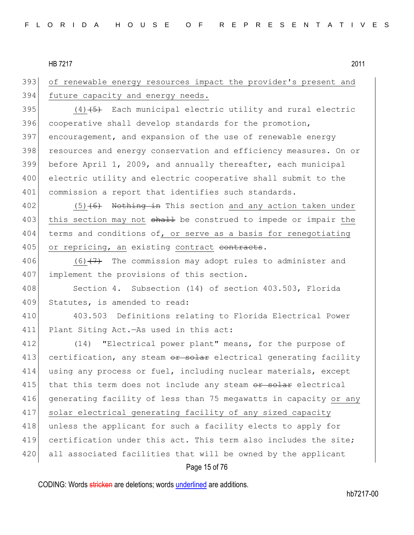393 of renewable energy resources impact the provider's present and 394 future capacity and energy needs.

395  $(4)$   $\overline{5}$  Each municipal electric utility and rural electric 396 cooperative shall develop standards for the promotion, 397 encouragement, and expansion of the use of renewable energy 398 resources and energy conservation and efficiency measures. On or 399 before April 1, 2009, and annually thereafter, each municipal 400 electric utility and electric cooperative shall submit to the 401 commission a report that identifies such standards.

 $402$  (5)<del>(6)</del> Nothing in This section and any action taken under 403 this section may not shall be construed to impede or impair the 404 terms and conditions of, or serve as a basis for renegotiating 405 or repricing, an existing contract contracts.

406  $(6)$   $(7)$  The commission may adopt rules to administer and 407 implement the provisions of this section.

408 Section 4. Subsection (14) of section 403.503, Florida 409 Statutes, is amended to read:

410 403.503 Definitions relating to Florida Electrical Power 411 Plant Siting Act.—As used in this act:

412 (14) "Electrical power plant" means, for the purpose of 413 certification, any steam or solar electrical generating facility 414 using any process or fuel, including nuclear materials, except  $415$  that this term does not include any steam  $\theta$  and  $\theta$  electrical 416 generating facility of less than 75 megawatts in capacity or any 417 solar electrical generating facility of any sized capacity 418 unless the applicant for such a facility elects to apply for 419 certification under this act. This term also includes the site; 420 all associated facilities that will be owned by the applicant

#### Page 15 of 76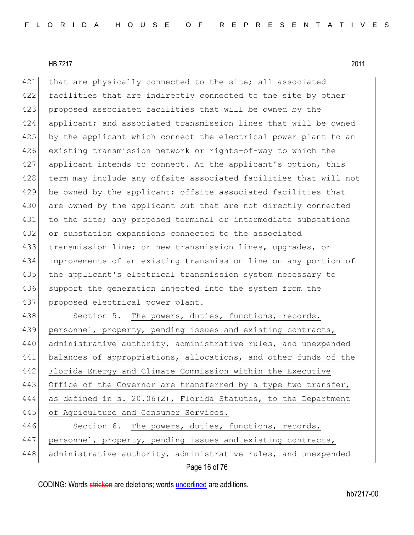421 that are physically connected to the site; all associated 422 facilities that are indirectly connected to the site by other 423 proposed associated facilities that will be owned by the 424 applicant; and associated transmission lines that will be owned 425 by the applicant which connect the electrical power plant to an 426 existing transmission network or rights-of-way to which the 427 applicant intends to connect. At the applicant's option, this 428 term may include any offsite associated facilities that will not 429 be owned by the applicant; offsite associated facilities that 430 are owned by the applicant but that are not directly connected 431 to the site; any proposed terminal or intermediate substations 432 or substation expansions connected to the associated 433 transmission line; or new transmission lines, upgrades, or 434 improvements of an existing transmission line on any portion of 435 the applicant's electrical transmission system necessary to 436 support the generation injected into the system from the 437 proposed electrical power plant. 438 Section 5. The powers, duties, functions, records,

439 personnel, property, pending issues and existing contracts, 440 administrative authority, administrative rules, and unexpended 441 balances of appropriations, allocations, and other funds of the 442 Florida Energy and Climate Commission within the Executive 443 Office of the Governor are transferred by a type two transfer, 444 as defined in s. 20.06(2), Florida Statutes, to the Department 445 of Agriculture and Consumer Services. 446 Section 6. The powers, duties, functions, records, 447 personnel, property, pending issues and existing contracts, 448 administrative authority, administrative rules, and unexpended

Page 16 of 76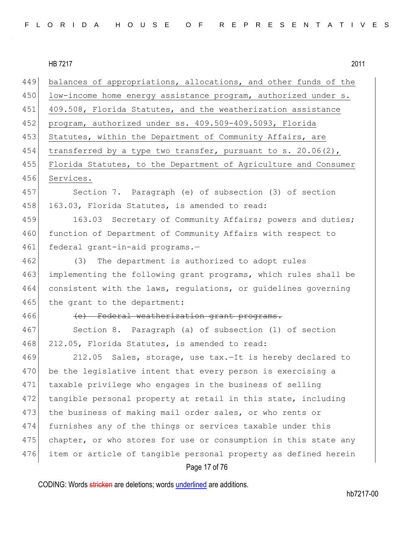| FLORIDA HOUSE OF REPRESENTATIVES |  |
|----------------------------------|--|
|----------------------------------|--|

| 449  | balances of appropriations, allocations, and other funds of the |
|------|-----------------------------------------------------------------|
| 450  | low-income home energy assistance program, authorized under s.  |
| 451  | 409.508, Florida Statutes, and the weatherization assistance    |
| 452  | program, authorized under ss. 409.509-409.5093, Florida         |
| 453  | Statutes, within the Department of Community Affairs, are       |
| 454  | transferred by a type two transfer, pursuant to s. 20.06(2),    |
| 455  | Florida Statutes, to the Department of Agriculture and Consumer |
| 456  | Services.                                                       |
| 4571 | Section 7. Paragraph (e) of subsection (3) of section           |
| 458  | 163.03, Florida Statutes, is amended to read:                   |
| 459  | 163.03 Secretary of Community Affairs; powers and duties;       |
| 460  | function of Department of Community Affairs with respect to     |
| 461  | federal grant-in-aid programs.-                                 |
| 462  | (3) The department is authorized to adopt rules                 |
| 463  | implementing the following grant programs, which rules shall be |
| 464  | consistent with the laws, regulations, or guidelines governing  |
| 465  | the grant to the department:                                    |
| 466  | (e) Federal weatherization grant programs.                      |
| 467  | Section 8. Paragraph (a) of subsection (1) of section           |
| 468  | 212.05, Florida Statutes, is amended to read:                   |
| 469  | 212.05 Sales, storage, use tax. It is hereby declared to        |
| 470  | be the legislative intent that every person is exercising a     |
| 471  | taxable privilege who engages in the business of selling        |
| 472  | tangible personal property at retail in this state, including   |
| 473  | the business of making mail order sales, or who rents or        |
| 474  | furnishes any of the things or services taxable under this      |
| 475  | chapter, or who stores for use or consumption in this state any |
| 476  | item or article of tangible personal property as defined herein |
|      | Page 17 of 76                                                   |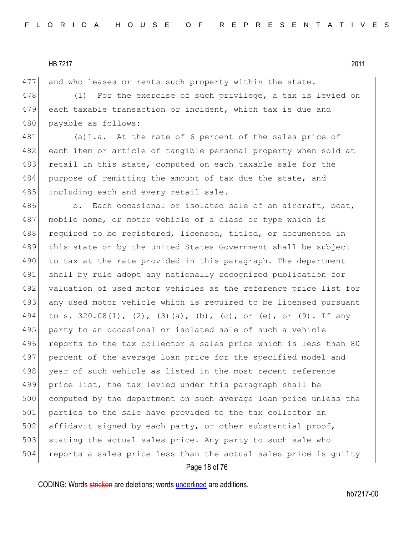477 and who leases or rents such property within the state.

478 (1) For the exercise of such privilege, a tax is levied on 479 each taxable transaction or incident, which tax is due and 480 payable as follows:

481 (a) 1.a. At the rate of 6 percent of the sales price of 482 each item or article of tangible personal property when sold at 483 retail in this state, computed on each taxable sale for the 484 purpose of remitting the amount of tax due the state, and 485 including each and every retail sale.

486 b. Each occasional or isolated sale of an aircraft, boat, 487 mobile home, or motor vehicle of a class or type which is 488 required to be registered, licensed, titled, or documented in 489 this state or by the United States Government shall be subject 490 to tax at the rate provided in this paragraph. The department 491 shall by rule adopt any nationally recognized publication for 492 valuation of used motor vehicles as the reference price list for 493 any used motor vehicle which is required to be licensed pursuant 494 to s. 320.08(1), (2), (3)(a), (b), (c), or (e), or (9). If any 495 party to an occasional or isolated sale of such a vehicle 496 reports to the tax collector a sales price which is less than 80 497 percent of the average loan price for the specified model and 498 year of such vehicle as listed in the most recent reference 499 price list, the tax levied under this paragraph shall be 500 computed by the department on such average loan price unless the 501 parties to the sale have provided to the tax collector an 502 affidavit signed by each party, or other substantial proof, 503 stating the actual sales price. Any party to such sale who 504 reports a sales price less than the actual sales price is quilty

#### Page 18 of 76

CODING: Words stricken are deletions; words underlined are additions.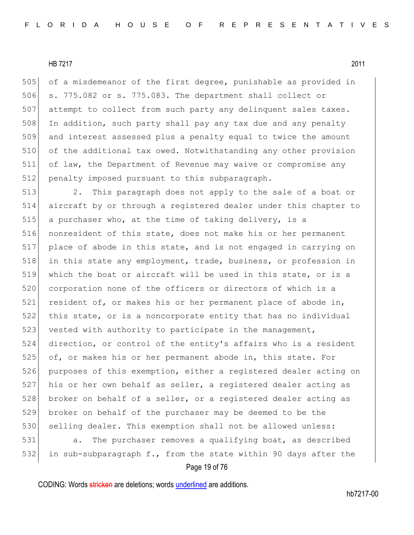505 of a misdemeanor of the first degree, punishable as provided in 506 s. 775.082 or s. 775.083. The department shall collect or 507 attempt to collect from such party any delinquent sales taxes. 508 In addition, such party shall pay any tax due and any penalty 509 and interest assessed plus a penalty equal to twice the amount 510 of the additional tax owed. Notwithstanding any other provision 511 of law, the Department of Revenue may waive or compromise any 512 penalty imposed pursuant to this subparagraph.

513 2. This paragraph does not apply to the sale of a boat or 514 aircraft by or through a registered dealer under this chapter to 515 a purchaser who, at the time of taking delivery, is a 516 nonresident of this state, does not make his or her permanent 517 place of abode in this state, and is not engaged in carrying on 518 in this state any employment, trade, business, or profession in 519 which the boat or aircraft will be used in this state, or is a 520 corporation none of the officers or directors of which is a 521 resident of, or makes his or her permanent place of abode in, 522 this state, or is a noncorporate entity that has no individual 523 vested with authority to participate in the management, 524 direction, or control of the entity's affairs who is a resident 525 of, or makes his or her permanent abode in, this state. For 526 purposes of this exemption, either a registered dealer acting on 527 his or her own behalf as seller, a registered dealer acting as 528 broker on behalf of a seller, or a registered dealer acting as 529 broker on behalf of the purchaser may be deemed to be the 530 selling dealer. This exemption shall not be allowed unless: 531 a. The purchaser removes a qualifying boat, as described 532 in sub-subparagraph f., from the state within 90 days after the

Page 19 of 76

CODING: Words stricken are deletions; words underlined are additions.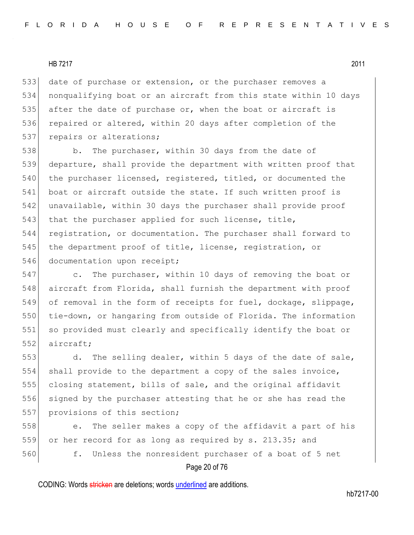533 date of purchase or extension, or the purchaser removes a 534 nonqualifying boat or an aircraft from this state within 10 days 535 after the date of purchase or, when the boat or aircraft is 536 repaired or altered, within 20 days after completion of the 537 repairs or alterations;

538 b. The purchaser, within 30 days from the date of 539 departure, shall provide the department with written proof that 540 the purchaser licensed, registered, titled, or documented the 541 boat or aircraft outside the state. If such written proof is 542 unavailable, within 30 days the purchaser shall provide proof 543 that the purchaser applied for such license, title, 544 registration, or documentation. The purchaser shall forward to 545 the department proof of title, license, registration, or 546 documentation upon receipt;

547 c. The purchaser, within 10 days of removing the boat or 548 aircraft from Florida, shall furnish the department with proof 549 of removal in the form of receipts for fuel, dockage, slippage, 550 tie-down, or hangaring from outside of Florida. The information 551 so provided must clearly and specifically identify the boat or 552 aircraft;

553 d. The selling dealer, within 5 days of the date of sale, 554 shall provide to the department a copy of the sales invoice, 555 closing statement, bills of sale, and the original affidavit 556 signed by the purchaser attesting that he or she has read the 557 provisions of this section;

558 e. The seller makes a copy of the affidavit a part of his 559 or her record for as long as required by s. 213.35; and 560 f. Unless the nonresident purchaser of a boat of 5 net

#### Page 20 of 76

CODING: Words stricken are deletions; words underlined are additions.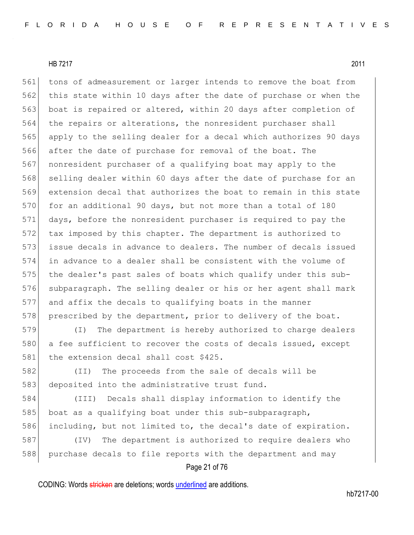561 tons of admeasurement or larger intends to remove the boat from 562 this state within 10 days after the date of purchase or when the 563 boat is repaired or altered, within 20 days after completion of 564 the repairs or alterations, the nonresident purchaser shall 565 apply to the selling dealer for a decal which authorizes 90 days 566 after the date of purchase for removal of the boat. The 567 nonresident purchaser of a qualifying boat may apply to the 568 selling dealer within 60 days after the date of purchase for an 569 extension decal that authorizes the boat to remain in this state 570 for an additional 90 days, but not more than a total of 180 571 days, before the nonresident purchaser is required to pay the 572 tax imposed by this chapter. The department is authorized to 573 issue decals in advance to dealers. The number of decals issued 574 in advance to a dealer shall be consistent with the volume of 575 the dealer's past sales of boats which qualify under this sub-576 subparagraph. The selling dealer or his or her agent shall mark 577 and affix the decals to qualifying boats in the manner 578 prescribed by the department, prior to delivery of the boat.

579 (I) The department is hereby authorized to charge dealers 580 a fee sufficient to recover the costs of decals issued, except 581 the extension decal shall cost \$425.

582 (II) The proceeds from the sale of decals will be 583 deposited into the administrative trust fund.

584 (III) Decals shall display information to identify the 585 boat as a qualifying boat under this sub-subparagraph, 586 including, but not limited to, the decal's date of expiration.

587 (IV) The department is authorized to require dealers who 588 purchase decals to file reports with the department and may

## Page 21 of 76

CODING: Words stricken are deletions; words underlined are additions.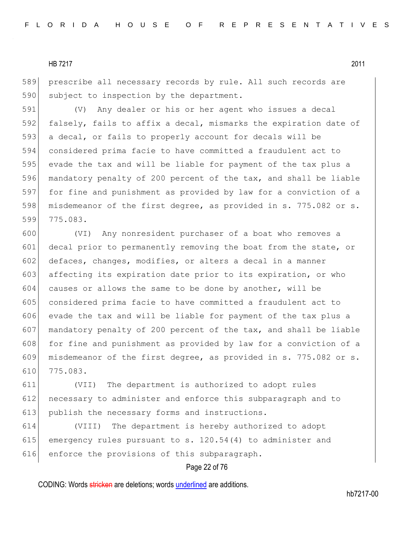589 prescribe all necessary records by rule. All such records are 590 subject to inspection by the department.

591 (V) Any dealer or his or her agent who issues a decal 592 falsely, fails to affix a decal, mismarks the expiration date of 593 a decal, or fails to properly account for decals will be 594 considered prima facie to have committed a fraudulent act to 595 evade the tax and will be liable for payment of the tax plus a 596 mandatory penalty of 200 percent of the tax, and shall be liable 597 for fine and punishment as provided by law for a conviction of a 598 misdemeanor of the first degree, as provided in s. 775.082 or s. 599 775.083.

 (VI) Any nonresident purchaser of a boat who removes a decal prior to permanently removing the boat from the state, or 602 defaces, changes, modifies, or alters a decal in a manner 603 affecting its expiration date prior to its expiration, or who causes or allows the same to be done by another, will be considered prima facie to have committed a fraudulent act to evade the tax and will be liable for payment of the tax plus a mandatory penalty of 200 percent of the tax, and shall be liable 608 for fine and punishment as provided by law for a conviction of a misdemeanor of the first degree, as provided in s. 775.082 or s. 610 775.083.

611 (VII) The department is authorized to adopt rules 612 necessary to administer and enforce this subparagraph and to 613 publish the necessary forms and instructions.

614 (VIII) The department is hereby authorized to adopt 615 emergency rules pursuant to s.  $120.54(4)$  to administer and 616 enforce the provisions of this subparagraph.

## Page 22 of 76

CODING: Words stricken are deletions; words underlined are additions.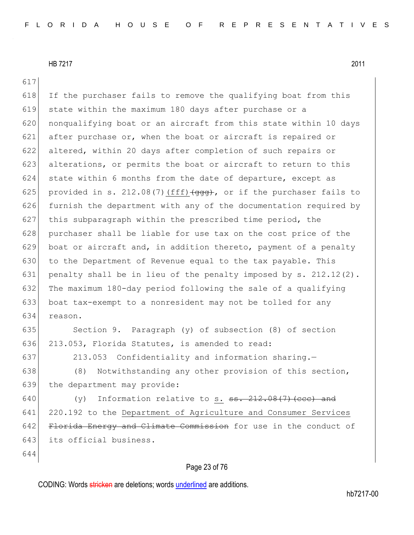617

 $618$  If the purchaser fails to remove the qualifying boat from this 619 state within the maximum 180 days after purchase or a 620 | nonqualifying boat or an aircraft from this state within 10 days 621 after purchase or, when the boat or aircraft is repaired or 622 altered, within 20 days after completion of such repairs or 623 alterations, or permits the boat or aircraft to return to this 624 state within 6 months from the date of departure, except as 625 provided in s. 212.08(7)  $(fff)$  (ggg), or if the purchaser fails to 626 furnish the department with any of the documentation required by 627 this subparagraph within the prescribed time period, the 628 purchaser shall be liable for use tax on the cost price of the 629 boat or aircraft and, in addition thereto, payment of a penalty 630 to the Department of Revenue equal to the tax payable. This 631 penalty shall be in lieu of the penalty imposed by s.  $212.12(2)$ . 632 The maximum 180-day period following the sale of a qualifying 633 boat tax-exempt to a nonresident may not be tolled for any 634 reason. 635 Section 9. Paragraph (y) of subsection (8) of section 636 213.053, Florida Statutes, is amended to read: 637 213.053 Confidentiality and information sharing.-638 (8) Notwithstanding any other provision of this section, 639 the department may provide: 640  $(y)$  Information relative to s.  $\frac{12.08(7)}{1000}$  (cec) and 641 220.192 to the Department of Agriculture and Consumer Services 642 Florida Energy and Climate Commission for use in the conduct of 643 its official business.

644

#### Page 23 of 76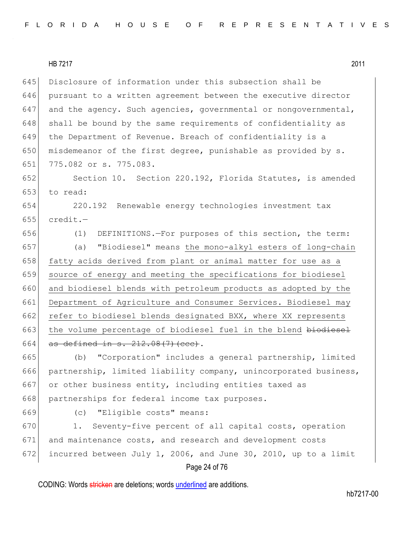645 Disclosure of information under this subsection shall be 646 pursuant to a written agreement between the executive director 647 and the agency. Such agencies, governmental or nongovernmental,  $648$  shall be bound by the same requirements of confidentiality as 649 the Department of Revenue. Breach of confidentiality is a 650 misdemeanor of the first degree, punishable as provided by  $s$ . 651 775.082 or s. 775.083.

652 Section 10. Section 220.192, Florida Statutes, is amended 653 to read:

654 220.192 Renewable energy technologies investment tax 655  $\vert$  credit.-

656 (1) DEFINITIONS.—For purposes of this section, the term:

657 (a) "Biodiesel" means the mono-alkyl esters of long-chain 658 fatty acids derived from plant or animal matter for use as a 659 source of energy and meeting the specifications for biodiesel 660 and biodiesel blends with petroleum products as adopted by the 661 Department of Agriculture and Consumer Services. Biodiesel may 662 refer to biodiesel blends designated BXX, where XX represents 663 the volume percentage of biodiesel fuel in the blend biodiesel 664 as defined in  $s. 212.08(7)$  (ccc).

665 (b) "Corporation" includes a general partnership, limited 666 partnership, limited liability company, unincorporated business, 667 or other business entity, including entities taxed as 668 partnerships for federal income tax purposes.

669 (c) "Eligible costs" means:

670 1. Seventy-five percent of all capital costs, operation 671 and maintenance costs, and research and development costs 672 incurred between July 1, 2006, and June 30, 2010, up to a limit

## Page 24 of 76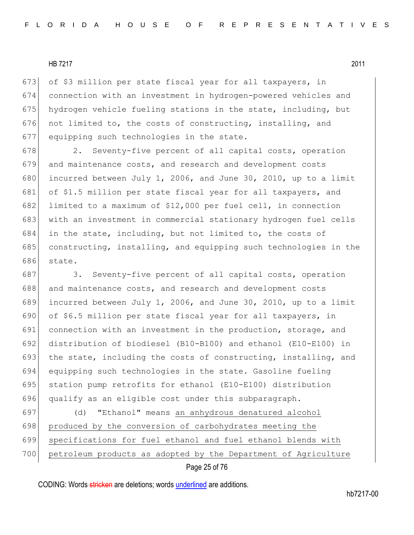673 of \$3 million per state fiscal year for all taxpayers, in 674 connection with an investment in hydrogen-powered vehicles and 675 hydrogen vehicle fueling stations in the state, including, but 676 not limited to, the costs of constructing, installing, and 677 equipping such technologies in the state.

678 2. Seventy-five percent of all capital costs, operation 679 and maintenance costs, and research and development costs 680 incurred between July 1, 2006, and June 30, 2010, up to a limit 681 of \$1.5 million per state fiscal year for all taxpayers, and 682 limited to a maximum of \$12,000 per fuel cell, in connection 683 with an investment in commercial stationary hydrogen fuel cells 684 in the state, including, but not limited to, the costs of 685 constructing, installing, and equipping such technologies in the 686 state.

687 3. Seventy-five percent of all capital costs, operation 688 and maintenance costs, and research and development costs 689 incurred between July 1, 2006, and June 30, 2010, up to a limit 690 of \$6.5 million per state fiscal year for all taxpayers, in 691 connection with an investment in the production, storage, and 692 distribution of biodiesel (B10-B100) and ethanol (E10-E100) in 693 the state, including the costs of constructing, installing, and 694 equipping such technologies in the state. Gasoline fueling 695 station pump retrofits for ethanol (E10-E100) distribution 696 qualify as an eligible cost under this subparagraph.

697 (d) "Ethanol" means an anhydrous denatured alcohol 698 produced by the conversion of carbohydrates meeting the 699 specifications for fuel ethanol and fuel ethanol blends with 700 petroleum products as adopted by the Department of Agriculture

#### Page 25 of 76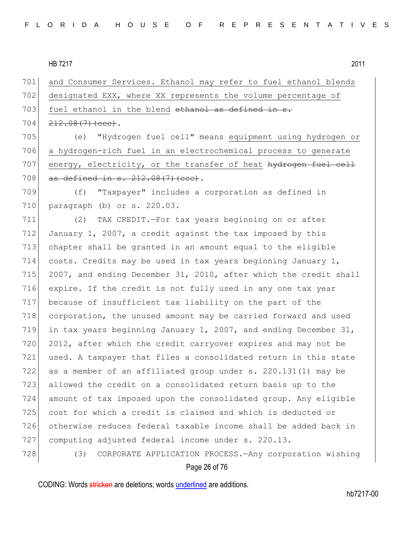701 and Consumer Services. Ethanol may refer to fuel ethanol blends 702 designated EXX, where XX represents the volume percentage of 703 fuel ethanol in the blend ethanol as defined in s.  $704 \mid 212.08(7)$  (ccc). 705 (e) "Hydrogen fuel cell" means equipment using hydrogen or 706 a hydrogen-rich fuel in an electrochemical process to generate 707 energy, electricity, or the transfer of heat hydrogen fuel cell 708 as defined in s.  $212.08(7)$  (ccc). 709 (f) "Taxpayer" includes a corporation as defined in 710 paragraph (b) or s. 220.03. 711 (2) TAX CREDIT.—For tax years beginning on or after 712 January 1, 2007, a credit against the tax imposed by this 713 chapter shall be granted in an amount equal to the eligible

714 costs. Credits may be used in tax years beginning January 1, 715 2007, and ending December 31, 2010, after which the credit shall expire. If the credit is not fully used in any one tax year because of insufficient tax liability on the part of the corporation, the unused amount may be carried forward and used in tax years beginning January 1, 2007, and ending December 31, 720 2012, after which the credit carryover expires and may not be 721 used. A taxpayer that files a consolidated return in this state as a member of an affiliated group under s. 220.131(1) may be allowed the credit on a consolidated return basis up to the amount of tax imposed upon the consolidated group. Any eligible cost for which a credit is claimed and which is deducted or otherwise reduces federal taxable income shall be added back in computing adjusted federal income under s. 220.13.

#### 728 (3) CORPORATE APPLICATION PROCESS.—Any corporation wishing

#### Page 26 of 76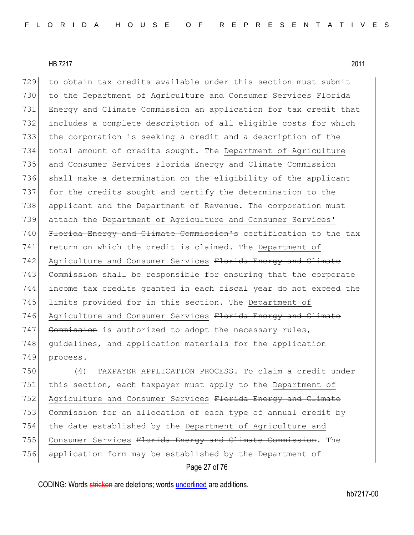729 to obtain tax credits available under this section must submit 730 to the Department of Agriculture and Consumer Services Florida 731 Energy and Climate Commission an application for tax credit that 732 includes a complete description of all eligible costs for which 733 the corporation is seeking a credit and a description of the 734 total amount of credits sought. The Department of Agriculture 735 and Consumer Services Florida Energy and Climate Commission 736 shall make a determination on the eligibility of the applicant 737 for the credits sought and certify the determination to the 738 applicant and the Department of Revenue. The corporation must 739 attach the Department of Agriculture and Consumer Services' 740 Florida Energy and Climate Commission's certification to the tax 741 return on which the credit is claimed. The Department of 742 Agriculture and Consumer Services Florida Energy and Climate 743 Commission shall be responsible for ensuring that the corporate 744 income tax credits granted in each fiscal year do not exceed the 745 limits provided for in this section. The Department of 746 Agriculture and Consumer Services Florida Energy and Climate  $747$  Commission is authorized to adopt the necessary rules, 748 quidelines, and application materials for the application 749 process.

750 (4) TAXPAYER APPLICATION PROCESS.—To claim a credit under 751 this section, each taxpayer must apply to the Department of 752 Agriculture and Consumer Services Florida Energy and Climate 753 Commission for an allocation of each type of annual credit by 754 the date established by the Department of Agriculture and 755 Consumer Services Florida Energy and Climate Commission. The 756 application form may be established by the Department of

```
Page 27 of 76
```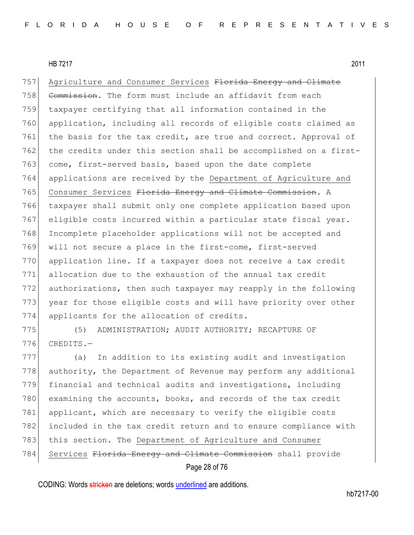757 Agriculture and Consumer Services Florida Energy and Climate 758 Commission. The form must include an affidavit from each 759 taxpayer certifying that all information contained in the 760 application, including all records of eligible costs claimed as 761 the basis for the tax credit, are true and correct. Approval of 762 the credits under this section shall be accomplished on a first-763 come, first-served basis, based upon the date complete 764 applications are received by the Department of Agriculture and 765 Consumer Services Florida Energy and Climate Commission. A 766 taxpayer shall submit only one complete application based upon 767 eligible costs incurred within a particular state fiscal year. 768 Incomplete placeholder applications will not be accepted and 769 will not secure a place in the first-come, first-served 770 application line. If a taxpayer does not receive a tax credit 771 allocation due to the exhaustion of the annual tax credit 772 authorizations, then such taxpayer may reapply in the following 773 year for those eligible costs and will have priority over other 774 applicants for the allocation of credits.

775 (5) ADMINISTRATION; AUDIT AUTHORITY; RECAPTURE OF  $776$  CREDITS. $-$ 

777 (a) In addition to its existing audit and investigation 778 authority, the Department of Revenue may perform any additional 779 financial and technical audits and investigations, including 780 examining the accounts, books, and records of the tax credit 781 applicant, which are necessary to verify the eligible costs 782 included in the tax credit return and to ensure compliance with 783 this section. The Department of Agriculture and Consumer 784 Services Florida Energy and Climate Commission shall provide

#### Page 28 of 76

CODING: Words stricken are deletions; words underlined are additions.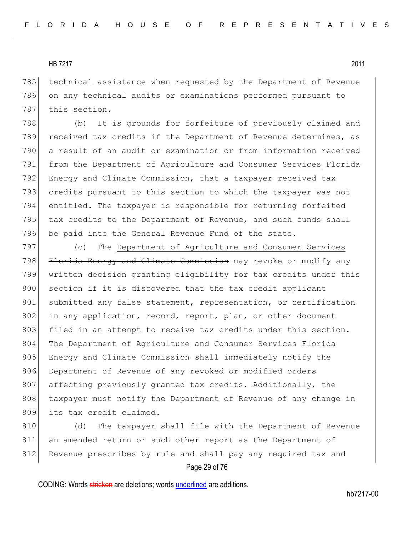785 technical assistance when requested by the Department of Revenue 786 on any technical audits or examinations performed pursuant to 787 this section.

788 (b) It is grounds for forfeiture of previously claimed and 789 received tax credits if the Department of Revenue determines, as 790 a result of an audit or examination or from information received 791 from the Department of Agriculture and Consumer Services Florida 792 Energy and Climate Commission, that a taxpayer received tax 793 credits pursuant to this section to which the taxpayer was not 794 entitled. The taxpayer is responsible for returning forfeited 795 tax credits to the Department of Revenue, and such funds shall 796 be paid into the General Revenue Fund of the state.

797 (c) The Department of Agriculture and Consumer Services 798 Florida Energy and Climate Commission may revoke or modify any 799 written decision granting eligibility for tax credits under this 800 section if it is discovered that the tax credit applicant 801 submitted any false statement, representation, or certification 802 in any application, record, report, plan, or other document 803 filed in an attempt to receive tax credits under this section. 804 The Department of Agriculture and Consumer Services Florida 805 Energy and Climate Commission shall immediately notify the 806 Department of Revenue of any revoked or modified orders 807 affecting previously granted tax credits. Additionally, the 808 taxpayer must notify the Department of Revenue of any change in 809 its tax credit claimed.

810 (d) The taxpayer shall file with the Department of Revenue 811 an amended return or such other report as the Department of 812 Revenue prescribes by rule and shall pay any required tax and

#### Page 29 of 76

CODING: Words stricken are deletions; words underlined are additions.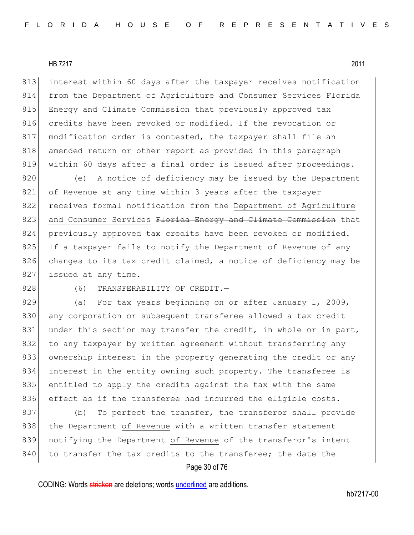813 interest within 60 days after the taxpayer receives notification 814 from the Department of Agriculture and Consumer Services Florida 815 Energy and Climate Commission that previously approved tax 816 credits have been revoked or modified. If the revocation or 817 modification order is contested, the taxpayer shall file an 818 amended return or other report as provided in this paragraph 819 within 60 days after a final order is issued after proceedings.

820 (e) A notice of deficiency may be issued by the Department 821 of Revenue at any time within 3 years after the taxpayer 822 receives formal notification from the Department of Agriculture 823 and Consumer Services Florida Energy and Climate Commission that 824 previously approved tax credits have been revoked or modified. 825 If a taxpayer fails to notify the Department of Revenue of any 826 changes to its tax credit claimed, a notice of deficiency may be 827 issued at any time.

828 (6) TRANSFERABILITY OF CREDIT.

829 (a) For tax years beginning on or after January 1, 2009, 830 any corporation or subsequent transferee allowed a tax credit 831 under this section may transfer the credit, in whole or in part, 832 to any taxpayer by written agreement without transferring any 833 ownership interest in the property generating the credit or any 834 interest in the entity owning such property. The transferee is 835 entitled to apply the credits against the tax with the same 836 effect as if the transferee had incurred the eligible costs.

837 (b) To perfect the transfer, the transferor shall provide 838 | the Department of Revenue with a written transfer statement 839 notifying the Department of Revenue of the transferor's intent 840 to transfer the tax credits to the transferee; the date the

## Page 30 of 76

CODING: Words stricken are deletions; words underlined are additions.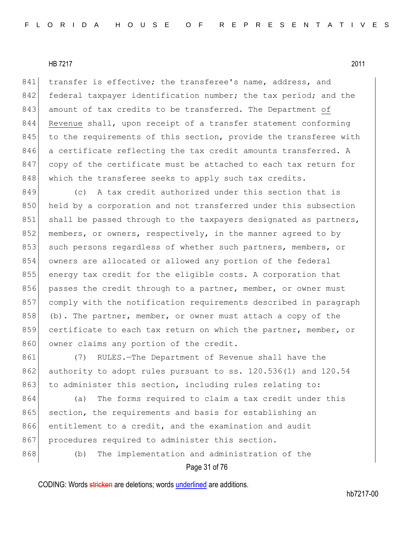841 transfer is effective; the transferee's name, address, and 842 federal taxpayer identification number; the tax period; and the 843 amount of tax credits to be transferred. The Department of 844 Revenue shall, upon receipt of a transfer statement conforming 845 to the requirements of this section, provide the transferee with 846 a certificate reflecting the tax credit amounts transferred. A 847 copy of the certificate must be attached to each tax return for 848 which the transferee seeks to apply such tax credits.

849 (c) A tax credit authorized under this section that is 850 held by a corporation and not transferred under this subsection 851 shall be passed through to the taxpayers designated as partners, 852 members, or owners, respectively, in the manner agreed to by 853 such persons regardless of whether such partners, members, or 854 owners are allocated or allowed any portion of the federal 855 energy tax credit for the eligible costs. A corporation that 856 passes the credit through to a partner, member, or owner must 857 comply with the notification requirements described in paragraph 858 (b). The partner, member, or owner must attach a copy of the 859 certificate to each tax return on which the partner, member, or 860 owner claims any portion of the credit.

861 (7) RULES.—The Department of Revenue shall have the 862 authority to adopt rules pursuant to ss. 120.536(1) and 120.54 863 to administer this section, including rules relating to:

864 (a) The forms required to claim a tax credit under this 865 section, the requirements and basis for establishing an 866 entitlement to a credit, and the examination and audit 867 procedures required to administer this section.

868 (b) The implementation and administration of the

## Page 31 of 76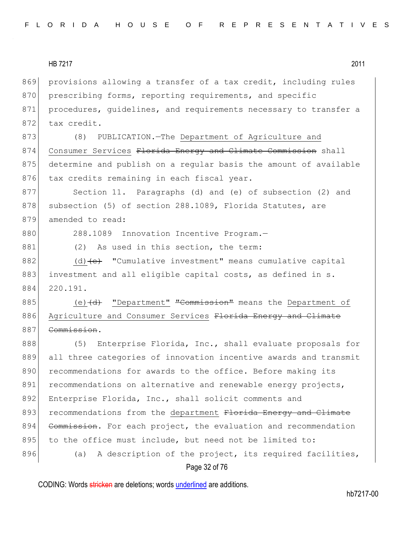869 provisions allowing a transfer of a tax credit, including rules 870 prescribing forms, reporting requirements, and specific 871 procedures, guidelines, and requirements necessary to transfer a 872 tax credit. 873 (8) PUBLICATION.—The Department of Agriculture and

874 Consumer Services Florida Energy and Climate Commission shall 875 determine and publish on a regular basis the amount of available 876 tax credits remaining in each fiscal year.

877 Section 11. Paragraphs (d) and (e) of subsection (2) and 878 subsection (5) of section 288.1089, Florida Statutes, are 879 amended to read:

880 288.1089 Innovation Incentive Program.-

881 (2) As used in this section, the term:

882 (d)  $\left\{e\right\}$  "Cumulative investment" means cumulative capital 883 investment and all eligible capital costs, as defined in s. 884 220.191.

885 (e)  $\left(\frac{d}{dt}\right)$  "Department" "Commission" means the Department of 886 Agriculture and Consumer Services Florida Energy and Climate 887 Commission.

888 (5) Enterprise Florida, Inc., shall evaluate proposals for 889 all three categories of innovation incentive awards and transmit 890 recommendations for awards to the office. Before making its 891 recommendations on alternative and renewable energy projects, 892 Enterprise Florida, Inc., shall solicit comments and 893 recommendations from the department Florida Energy and Climate 894 Commission. For each project, the evaluation and recommendation 895 to the office must include, but need not be limited to: 896 (a) A description of the project, its required facilities,

## Page 32 of 76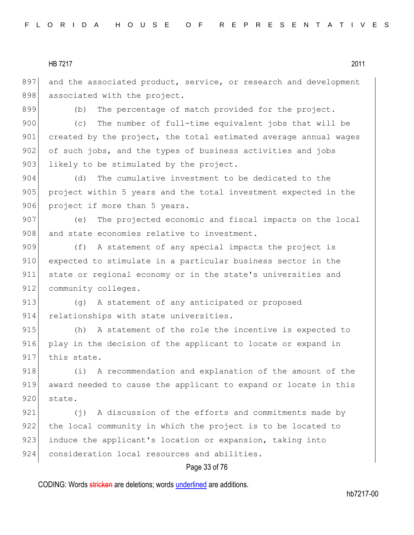897 and the associated product, service, or research and development 898 associated with the project.

899 (b) The percentage of match provided for the project.

900 (c) The number of full-time equivalent jobs that will be 901 created by the project, the total estimated average annual wages 902 of such jobs, and the types of business activities and jobs 903 likely to be stimulated by the project.

904 (d) The cumulative investment to be dedicated to the 905 project within 5 years and the total investment expected in the 906 project if more than 5 years.

907 (e) The projected economic and fiscal impacts on the local 908 and state economies relative to investment.

909 (f) A statement of any special impacts the project is 910 expected to stimulate in a particular business sector in the 911 state or regional economy or in the state's universities and 912 community colleges.

913 (g) A statement of any anticipated or proposed 914 relationships with state universities.

915 (h) A statement of the role the incentive is expected to 916 play in the decision of the applicant to locate or expand in 917 this state.

918 (i) A recommendation and explanation of the amount of the 919 award needed to cause the applicant to expand or locate in this 920 state.

921 (j) A discussion of the efforts and commitments made by 922 the local community in which the project is to be located to 923 induce the applicant's location or expansion, taking into 924 consideration local resources and abilities.

## Page 33 of 76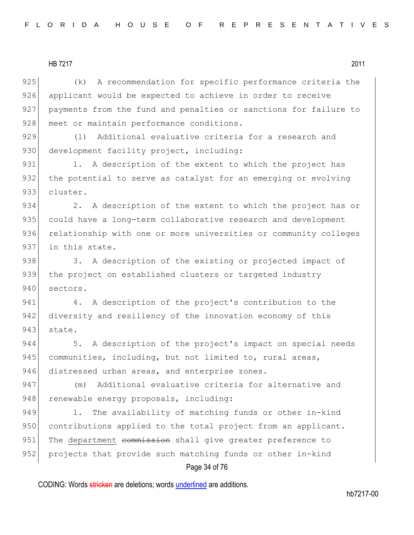925 (k) A recommendation for specific performance criteria the 926 applicant would be expected to achieve in order to receive 927 payments from the fund and penalties or sanctions for failure to 928 meet or maintain performance conditions.

929 (1) Additional evaluative criteria for a research and 930 development facility project, including:

931 1. A description of the extent to which the project has 932 the potential to serve as catalyst for an emerging or evolving 933 cluster.

934 2. A description of the extent to which the project has or 935 could have a long-term collaborative research and development 936 relationship with one or more universities or community colleges 937 in this state.

938 3. A description of the existing or projected impact of 939 the project on established clusters or targeted industry 940 sectors.

941 4. A description of the project's contribution to the 942 diversity and resiliency of the innovation economy of this 943 state.

944 5. A description of the project's impact on special needs 945 communities, including, but not limited to, rural areas, 946 distressed urban areas, and enterprise zones.

947 (m) Additional evaluative criteria for alternative and 948 renewable energy proposals, including:

949 1. The availability of matching funds or other in-kind 950 contributions applied to the total project from an applicant. 951 The department commission shall give greater preference to 952 projects that provide such matching funds or other in-kind

#### Page 34 of 76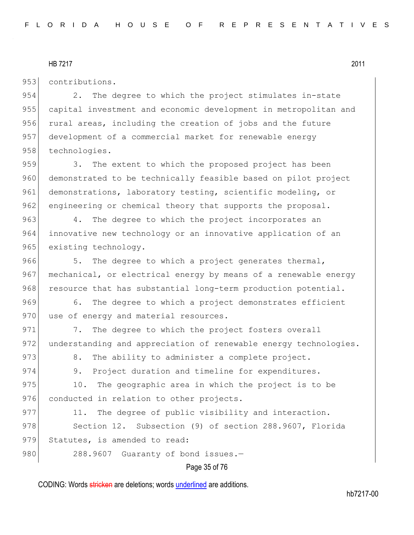953 contributions.

954 2. The degree to which the project stimulates in-state 955 capital investment and economic development in metropolitan and 956 rural areas, including the creation of jobs and the future 957 development of a commercial market for renewable energy 958 technologies.

959 3. The extent to which the proposed project has been 960 demonstrated to be technically feasible based on pilot project 961 demonstrations, laboratory testing, scientific modeling, or 962 engineering or chemical theory that supports the proposal.

963 4. The degree to which the project incorporates an 964 innovative new technology or an innovative application of an 965 existing technology.

966 5. The degree to which a project generates thermal, 967 mechanical, or electrical energy by means of a renewable energy 968 resource that has substantial long-term production potential.

969 6. The degree to which a project demonstrates efficient 970 use of energy and material resources.

971 7. The degree to which the project fosters overall 972 understanding and appreciation of renewable energy technologies.

973 8. The ability to administer a complete project.

974 9. Project duration and timeline for expenditures.

975 10. The geographic area in which the project is to be 976 conducted in relation to other projects.

977 11. The degree of public visibility and interaction. 978 Section 12. Subsection (9) of section 288.9607, Florida 979 Statutes, is amended to read: 980 288.9607 Guaranty of bond issues.-

#### Page 35 of 76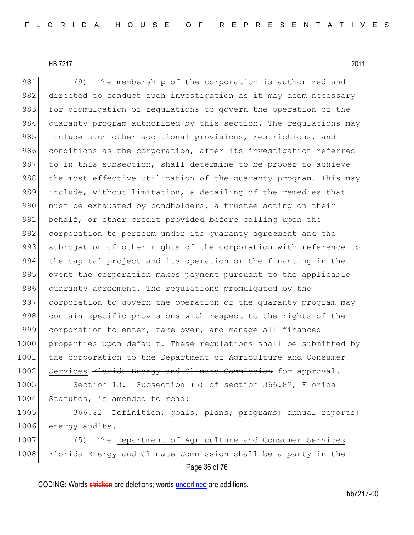981 (9) The membership of the corporation is authorized and 982 directed to conduct such investigation as it may deem necessary 983 for promulgation of regulations to govern the operation of the 984 guaranty program authorized by this section. The regulations may 985 include such other additional provisions, restrictions, and 986 conditions as the corporation, after its investigation referred 987 to in this subsection, shall determine to be proper to achieve 988 the most effective utilization of the guaranty program. This may 989 include, without limitation, a detailing of the remedies that 990 must be exhausted by bondholders, a trustee acting on their 991 behalf, or other credit provided before calling upon the 992 corporation to perform under its quaranty agreement and the 993 subrogation of other rights of the corporation with reference to 994 the capital project and its operation or the financing in the 995 event the corporation makes payment pursuant to the applicable 996 quaranty agreement. The regulations promulgated by the 997 corporation to govern the operation of the quaranty program may 998 contain specific provisions with respect to the rights of the 999 corporation to enter, take over, and manage all financed 1000 properties upon default. These regulations shall be submitted by 1001 the corporation to the Department of Agriculture and Consumer 1002 Services Florida Energy and Climate Commission for approval.

1003 Section 13. Subsection (5) of section 366.82, Florida 1004 Statutes, is amended to read:

1005 366.82 Definition; goals; plans; programs; annual reports; 1006 energy audits.-

1007 (5) The Department of Agriculture and Consumer Services 1008 Florida Energy and Climate Commission shall be a party in the

Page 36 of 76

CODING: Words stricken are deletions; words underlined are additions.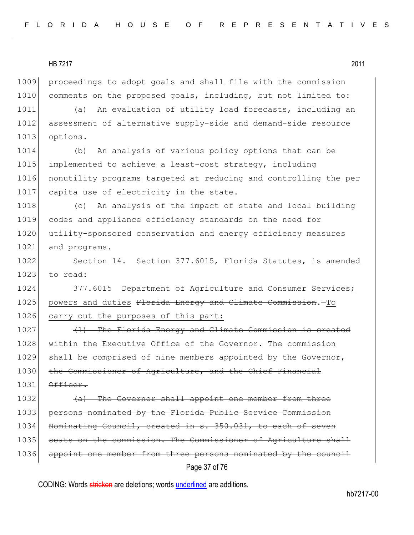1009 proceedings to adopt goals and shall file with the commission 1010 comments on the proposed goals, including, but not limited to:

1011 (a) An evaluation of utility load forecasts, including an 1012 assessment of alternative supply-side and demand-side resource 1013 options.

 (b) An analysis of various policy options that can be implemented to achieve a least-cost strategy, including nonutility programs targeted at reducing and controlling the per 1017 capita use of electricity in the state.

1018 (c) An analysis of the impact of state and local building 1019 codes and appliance efficiency standards on the need for 1020 utility-sponsored conservation and energy efficiency measures 1021 and programs.

1022 Section 14. Section 377.6015, Florida Statutes, is amended  $1023$  to read:

1024 377.6015 Department of Agriculture and Consumer Services; 1025 powers and duties Florida Energy and Climate Commission. - To 1026 carry out the purposes of this part:

1027 (1) The Florida Energy and Climate Commission is created 1028 within the Executive Office of the Governor. The commission 1029 shall be comprised of nine members appointed by the Governor, 1030 the Commissioner of Agriculture, and the Chief Financial  $1031$   $0f$ ficer.

Page 37 of 76 1032 (a) The Governor shall appoint one member from three 1033 persons nominated by the Florida Public Service Commission 1034 Nominating Council, created in s. 350.031, to each of seven 1035 seats on the commission. The Commissioner of Agriculture shall 1036 appoint one member from three persons nominated by the council

CODING: Words stricken are deletions; words underlined are additions.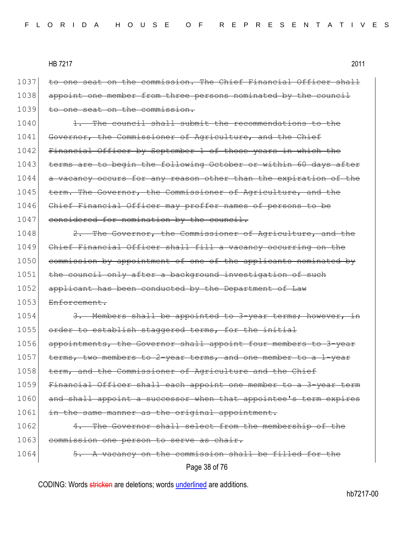Page 38 of 76 1037 to one seat on the commission. The Chief Financial Officer shall 1038 appoint one member from three persons nominated by the council 1039 to one seat on the commission. 1040 1. The council shall submit the recommendations to the 1041 Governor, the Commissioner of Agriculture, and the Chief 1042 Financial Officer by September 1 of those years in which the 1043 terms are to begin the following October or within 60 days after 1044 a vacancy occurs for any reason other than the expiration of the 1045 term. The Governor, the Commissioner of Agriculture, and the 1046 Chief Financial Officer may proffer names of persons to be 1047 considered for nomination by the council. 1048 2. The Governor, the Commissioner of Agriculture, and the 1049 Chief Financial Officer shall fill a vacancy occurring on the 1050 commission by appointment of one of the applicants nominated by 1051 the council only after a background investigation of such 1052 applicant has been conducted by the Department of Law 1053 Enforcement. 1054 3. Members shall be appointed to 3-year terms; however, in 1055 order to establish staggered terms, for the initial 1056 appointments, the Governor shall appoint four members to 3-year 1057 terms, two members to 2-year terms, and one member to a 1-year 1058 term, and the Commissioner of Agriculture and the Chief 1059 Financial Officer shall each appoint one member to a 3-year term 1060 and shall appoint a successor when that appointee's term expires 1061 in the same manner as the original appointment. 1062 4. The Governor shall select from the membership of the 1063 commission one person to serve as chair. 1064 5. A vacancy on the commission shall be filled for the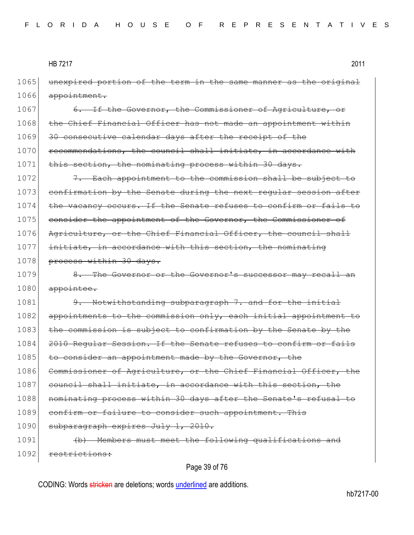1065 unexpired portion of the term in the same manner as the original 1066 appointment.

1067 6. If the Governor, the Commissioner of Agriculture, or 1068 the Chief Financial Officer has not made an appointment within 1069 30 consecutive calendar days after the receipt of the 1070 recommendations, the council shall initiate, in accordance with 1071 this section, the nominating process within 30 days.

1072 **7.** Each appointment to the commission shall be subject to 1073 confirmation by the Senate during the next regular session after 1074 the vacancy occurs. If the Senate refuses to confirm or fails to 1075 consider the appointment of the Governor, the Commissioner of 1076 Agriculture, or the Chief Financial Officer, the council shall 1077 initiate, in accordance with this section, the nominating 1078 process within 30 days.

1079 8. The Governor or the Governor's successor may recall an 1080 appointee.

1081 9. Notwithstanding subparagraph 7. and for the initial 1082 appointments to the commission only, each initial appointment to 1083 the commission is subject to confirmation by the Senate by the 1084 2010 Regular Session. If the Senate refuses to confirm or fails 1085 to consider an appointment made by the Governor, the 1086 Commissioner of Agriculture, or the Chief Financial Officer, the 1087 council shall initiate, in accordance with this section, the 1088 nominating process within 30 days after the Senate's refusal to 1089 confirm or failure to consider such appointment. This 1090 subparagraph expires July 1, 2010. 1091 (b) Members must meet the following qualifications and 1092 restrictions:

## Page 39 of 76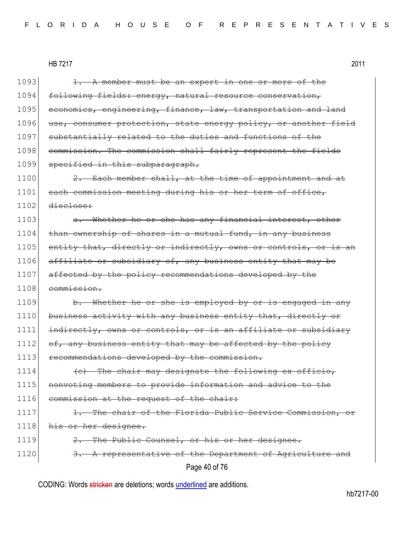| 1093 | A member must be an expert in one or more of the                |
|------|-----------------------------------------------------------------|
| 1094 | following fields: energy, natural resource conservation,        |
| 1095 | economics, engineering, finance, law, transportation and land   |
| 1096 | use, consumer protection, state energy policy, or another field |
| 1097 | substantially related to the duties and functions of the        |
| 1098 | commission. The commission shall fairly represent the fields    |
| 1099 | specified in this subparagraph.                                 |
| 1100 | 2. Each member shall, at the time of appointment and at         |
| 1101 | each commission meeting during his or her term of office,       |
| 1102 | disclose:                                                       |
| 1103 | a. Whether he or she has any financial interest, other          |
| 1104 | than ownership of shares in a mutual fund, in any business      |
| 1105 | entity that, directly or indirectly, owns or controls, or is an |
| 1106 | affiliate or subsidiary of, any business entity that may be     |
| 1107 | affected by the policy recommendations developed by the         |
| 1108 | commission.                                                     |
| 1109 | b. Whether he or she is employed by or is engaged in any        |
| 1110 | business activity with any business entity that, directly or    |
| 1111 | indirectly, owns or controls, or is an affiliate or subsidiary  |
| 1112 | of, any business entity that may be affected by the policy      |
| 1113 | recommendations developed by the commission.                    |
| 1114 | (c) The chair may designate the following ex officio,           |
| 1115 | nonvoting members to provide information and advice to the      |
| 1116 | commission at the request of the chair:                         |
| 1117 | The chair of the Florida Public Service Commission, or          |
| 1118 | his or her designee.                                            |
| 1119 | The Public Counsel, or his or her designee.                     |
| 1120 | 3. A representative of the Department of Agriculture and        |
|      | Page 40 of 76                                                   |

CODING: Words stricken are deletions; words underlined are additions.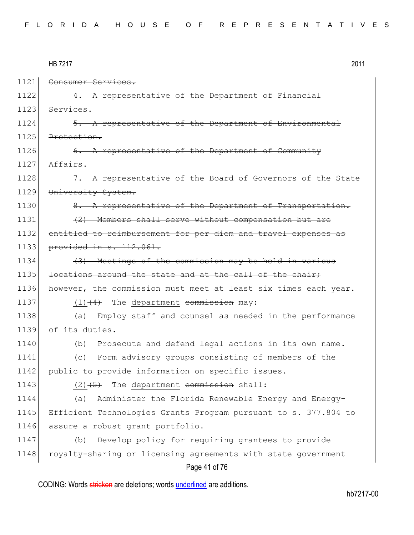|  |  |  | FLORIDA HOUSE OF REPRESENTATIVES |  |  |  |  |  |  |  |  |  |  |  |  |  |
|--|--|--|----------------------------------|--|--|--|--|--|--|--|--|--|--|--|--|--|
|  |  |  |                                  |  |  |  |  |  |  |  |  |  |  |  |  |  |

|      | 2011<br><b>HB 7217</b>                                          |
|------|-----------------------------------------------------------------|
| 1121 | Consumer Services.                                              |
| 1122 | 4. A representative of the Department of Financial              |
| 1123 | Services.                                                       |
| 1124 | 5. A representative of the Department of Environmental          |
| 1125 | Protection.                                                     |
| 1126 | 6. A representative of the Department of Community              |
| 1127 | Affairs.                                                        |
| 1128 | 7. A representative of the Board of Governors of the State      |
| 1129 | University System.                                              |
| 1130 | 8. A representative of the Department of Transportation.        |
| 1131 | (2) Members shall serve without compensation but are            |
| 1132 | entitled to reimbursement for per diem and travel expenses as   |
| 1133 | provided in s. 112.061.                                         |
| 1134 | (3) Meetings of the commission may be held in various           |
| 1135 | locations around the state and at the call of the chair,        |
| 1136 | however, the commission must meet at least six times each year. |
| 1137 | $(1)$ $(4)$ The department commission may:                      |
| 1138 | Employ staff and counsel as needed in the performance<br>(a)    |
| 1139 | of its duties.                                                  |
| 1140 | Prosecute and defend legal actions in its own name.<br>(b)      |
| 1141 | (c) Form advisory groups consisting of members of the           |
| 1142 | public to provide information on specific issues.               |
| 1143 | $(2)$ $(5)$ The department commission shall:                    |
| 1144 | Administer the Florida Renewable Energy and Energy-<br>(a)      |
| 1145 | Efficient Technologies Grants Program pursuant to s. 377.804 to |
| 1146 | assure a robust grant portfolio.                                |
| 1147 | Develop policy for requiring grantees to provide<br>(b)         |
| 1148 | royalty-sharing or licensing agreements with state government   |
|      | Page 41 of 76                                                   |

CODING: Words stricken are deletions; words underlined are additions.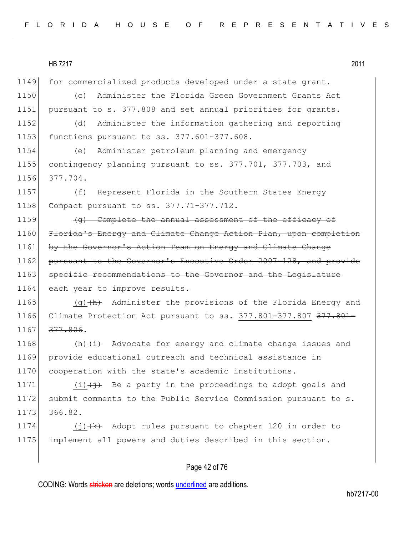1149 for commercialized products developed under a state grant. 1150 (c) Administer the Florida Green Government Grants Act 1151 pursuant to s. 377.808 and set annual priorities for grants. 1152 (d) Administer the information gathering and reporting 1153 functions pursuant to ss. 377.601-377.608. 1154 (e) Administer petroleum planning and emergency 1155 contingency planning pursuant to ss. 377.701, 377.703, and 1156 377.704. 1157 (f) Represent Florida in the Southern States Energy 1158 Compact pursuant to ss. 377.71-377.712. 1159 **(g)** Complete the annual assessment of the efficacy of 1160 Florida's Energy and Climate Change Action Plan, upon completion 1161 by the Governor's Action Team on Energy and Climate Change 1162 pursuant to the Governor's Executive Order 2007-128, and provide 1163 specific recommendations to the Governor and the Legislature 1164 each year to improve results. 1165 (g) $\frac{h}{h}$  Administer the provisions of the Florida Energy and 1166 Climate Protection Act pursuant to ss. 377.801-377.807 377.801-1167 377.806. 1168  $(h)$   $(i)$  Advocate for energy and climate change issues and 1169 provide educational outreach and technical assistance in

1171  $(i)$   $(i)$  Be a party in the proceedings to adopt goals and 1172 submit comments to the Public Service Commission pursuant to s. 1173 366.82.

1174  $(j)$   $(k)$  Adopt rules pursuant to chapter 120 in order to 1175 implement all powers and duties described in this section.

## Page 42 of 76

CODING: Words stricken are deletions; words underlined are additions.

1170 cooperation with the state's academic institutions.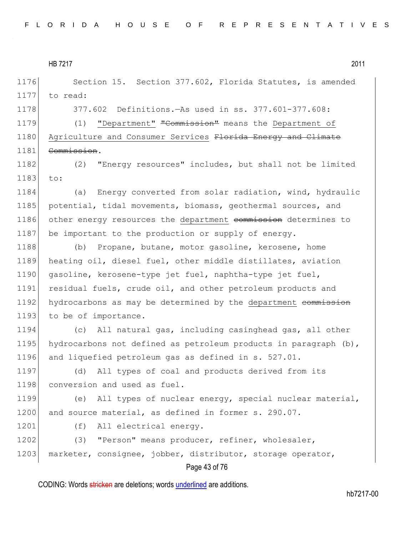1176 Section 15. Section 377.602, Florida Statutes, is amended 1177 to read:

1178 377.602 Definitions.—As used in ss. 377.601-377.608:

1179 (1) "Department" "Commission" means the Department of 1180 Agriculture and Consumer Services Florida Energy and Climate 1181 Commission.

1182 (2) "Energy resources" includes, but shall not be limited 1183 to:

1184 (a) Energy converted from solar radiation, wind, hydraulic 1185 potential, tidal movements, biomass, geothermal sources, and 1186 other energy resources the department commission determines to 1187 be important to the production or supply of energy.

1188 (b) Propane, butane, motor gasoline, kerosene, home 1189 heating oil, diesel fuel, other middle distillates, aviation 1190 gasoline, kerosene-type jet fuel, naphtha-type jet fuel, 1191 residual fuels, crude oil, and other petroleum products and 1192 hydrocarbons as may be determined by the department commission 1193 to be of importance.

1194 (c) All natural gas, including casinghead gas, all other 1195 hydrocarbons not defined as petroleum products in paragraph  $(b)$ , 1196 and liquefied petroleum gas as defined in s. 527.01.

1197 (d) All types of coal and products derived from its 1198 conversion and used as fuel.

1199 (e) All types of nuclear energy, special nuclear material, 1200 and source material, as defined in former s. 290.07.

1201 (f) All electrical energy.

1202 (3) "Person" means producer, refiner, wholesaler, 1203 marketer, consignee, jobber, distributor, storage operator,

# Page 43 of 76

CODING: Words stricken are deletions; words underlined are additions.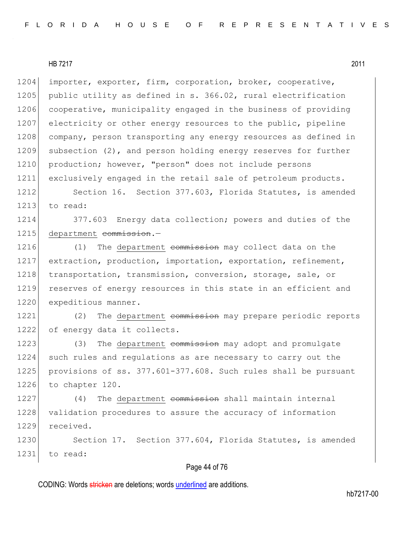1204 importer, exporter, firm, corporation, broker, cooperative, 1205 public utility as defined in s. 366.02, rural electrification 1206 cooperative, municipality engaged in the business of providing 1207 electricity or other energy resources to the public, pipeline 1208 company, person transporting any energy resources as defined in 1209 subsection (2), and person holding energy reserves for further 1210 production; however, "person" does not include persons 1211 exclusively engaged in the retail sale of petroleum products.

1212 Section 16. Section 377.603, Florida Statutes, is amended 1213  $\frac{1}{2}$  to read:

1214 377.603 Energy data collection; powers and duties of the 1215 department commission.-

1216 (1) The department commission may collect data on the 1217 extraction, production, importation, exportation, refinement, 1218 transportation, transmission, conversion, storage, sale, or 1219 reserves of energy resources in this state in an efficient and 1220 expeditious manner.

1221 (2) The department commission may prepare periodic reports 1222 of energy data it collects.

1223 (3) The department commission may adopt and promulgate 1224 such rules and regulations as are necessary to carry out the 1225 provisions of ss. 377.601-377.608. Such rules shall be pursuant 1226 to chapter 120.

1227 (4) The department commission shall maintain internal 1228 validation procedures to assure the accuracy of information 1229 received.

1230 Section 17. Section 377.604, Florida Statutes, is amended 1231 to read:

#### Page 44 of 76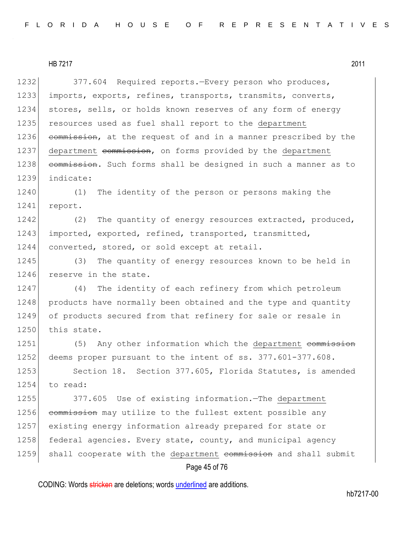1232 377.604 Required reports.—Every person who produces, 1233 imports, exports, refines, transports, transmits, converts, 1234 stores, sells, or holds known reserves of any form of energy 1235 resources used as fuel shall report to the department 1236 commission, at the request of and in a manner prescribed by the 1237 department commission, on forms provided by the department 1238 commission. Such forms shall be designed in such a manner as to 1239 indicate:

1240 (1) The identity of the person or persons making the 1241 report.

1242 (2) The quantity of energy resources extracted, produced, 1243 imported, exported, refined, transported, transmitted, 1244 converted, stored, or sold except at retail.

1245 (3) The quantity of energy resources known to be held in 1246 reserve in the state.

1247 (4) The identity of each refinery from which petroleum 1248 products have normally been obtained and the type and quantity 1249 of products secured from that refinery for sale or resale in 1250 this state.

1251 (5) Any other information which the department commission 1252 deems proper pursuant to the intent of ss. 377.601-377.608.

1253 Section 18. Section 377.605, Florida Statutes, is amended 1254 to read:

1255 377.605 Use of existing information.—The department 1256 commission may utilize to the fullest extent possible any 1257 existing energy information already prepared for state or 1258 federal agencies. Every state, county, and municipal agency 1259 shall cooperate with the department commission and shall submit

# Page 45 of 76

CODING: Words stricken are deletions; words underlined are additions.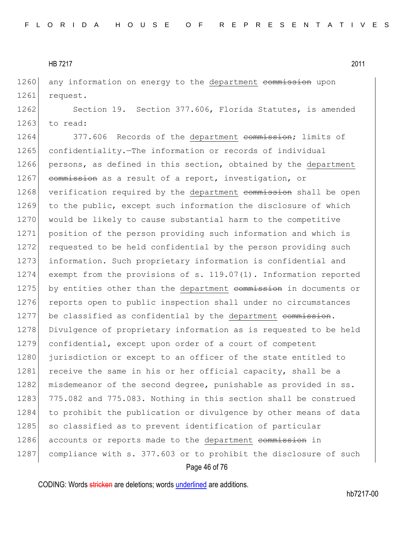1260 any information on energy to the department commission upon 1261 request.

1262 Section 19. Section 377.606, Florida Statutes, is amended  $1263$  to read:

1264 377.606 Records of the department commission; limits of 1265 confidentiality.—The information or records of individual 1266 persons, as defined in this section, obtained by the department 1267 commission as a result of a report, investigation, or 1268 verification required by the department commission shall be open 1269 to the public, except such information the disclosure of which 1270 would be likely to cause substantial harm to the competitive 1271 position of the person providing such information and which is 1272 requested to be held confidential by the person providing such 1273 information. Such proprietary information is confidential and 1274 exempt from the provisions of s. 119.07(1). Information reported 1275 by entities other than the department commission in documents or 1276 reports open to public inspection shall under no circumstances 1277 be classified as confidential by the department commission. 1278 Divulgence of proprietary information as is requested to be held 1279 confidential, except upon order of a court of competent 1280 jurisdiction or except to an officer of the state entitled to 1281 receive the same in his or her official capacity, shall be a 1282 misdemeanor of the second degree, punishable as provided in ss. 1283 775.082 and 775.083. Nothing in this section shall be construed 1284 to prohibit the publication or divulgence by other means of data 1285 | so classified as to prevent identification of particular 1286 accounts or reports made to the department commission in 1287 compliance with s. 377.603 or to prohibit the disclosure of such

## Page 46 of 76

CODING: Words stricken are deletions; words underlined are additions.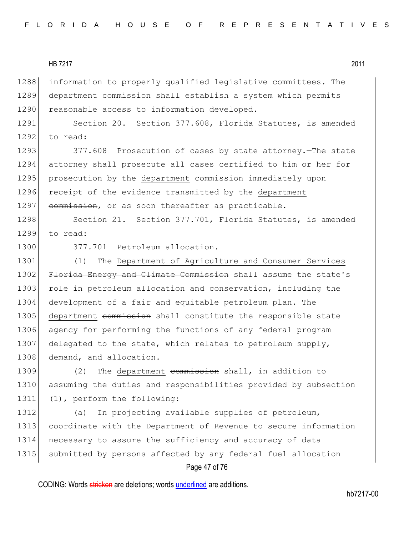1288 information to properly qualified legislative committees. The 1289 department commission shall establish a system which permits 1290 reasonable access to information developed.

1291 Section 20. Section 377.608, Florida Statutes, is amended  $1292$  to read:

1293 377.608 Prosecution of cases by state attorney. The state 1294 attorney shall prosecute all cases certified to him or her for 1295 prosecution by the department commission immediately upon 1296 receipt of the evidence transmitted by the department 1297 commission, or as soon thereafter as practicable.

1298 Section 21. Section 377.701, Florida Statutes, is amended 1299 to read:

1300 377.701 Petroleum allocation.-

1301 (1) The Department of Agriculture and Consumer Services 1302 Florida Energy and Climate Commission shall assume the state's 1303 role in petroleum allocation and conservation, including the 1304 development of a fair and equitable petroleum plan. The 1305 department commission shall constitute the responsible state 1306 agency for performing the functions of any federal program 1307 delegated to the state, which relates to petroleum supply, 1308 demand, and allocation.

1309 (2) The department commission shall, in addition to 1310 assuming the duties and responsibilities provided by subsection 1311 (1), perform the following:

1312 (a) In projecting available supplies of petroleum, 1313 coordinate with the Department of Revenue to secure information 1314 necessary to assure the sufficiency and accuracy of data 1315 submitted by persons affected by any federal fuel allocation

## Page 47 of 76

CODING: Words stricken are deletions; words underlined are additions.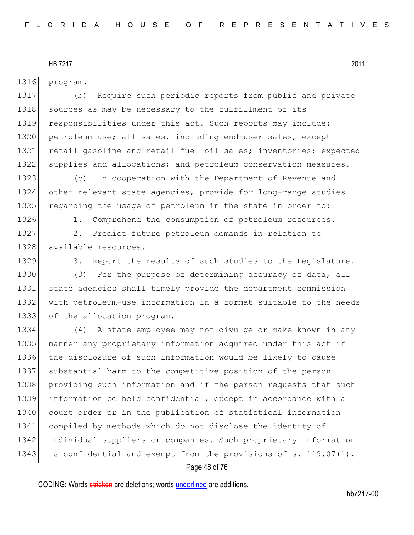1316 program.

1317 (b) Require such periodic reports from public and private 1318 sources as may be necessary to the fulfillment of its 1319 responsibilities under this act. Such reports may include: 1320 petroleum use; all sales, including end-user sales, except 1321 retail gasoline and retail fuel oil sales; inventories; expected 1322 supplies and allocations; and petroleum conservation measures.

1323 (c) In cooperation with the Department of Revenue and 1324 other relevant state agencies, provide for long-range studies 1325 regarding the usage of petroleum in the state in order to:

1326 1. Comprehend the consumption of petroleum resources.

1327 2. Predict future petroleum demands in relation to 1328 available resources.

1329 3. Report the results of such studies to the Legislature.

1330 (3) For the purpose of determining accuracy of data, all 1331 state agencies shall timely provide the department commission 1332 with petroleum-use information in a format suitable to the needs 1333 of the allocation program.

 (4) A state employee may not divulge or make known in any manner any proprietary information acquired under this act if the disclosure of such information would be likely to cause 1337 substantial harm to the competitive position of the person providing such information and if the person requests that such information be held confidential, except in accordance with a 1340 court order or in the publication of statistical information compiled by methods which do not disclose the identity of individual suppliers or companies. Such proprietary information 1343 is confidential and exempt from the provisions of s. 119.07(1).

# Page 48 of 76

CODING: Words stricken are deletions; words underlined are additions.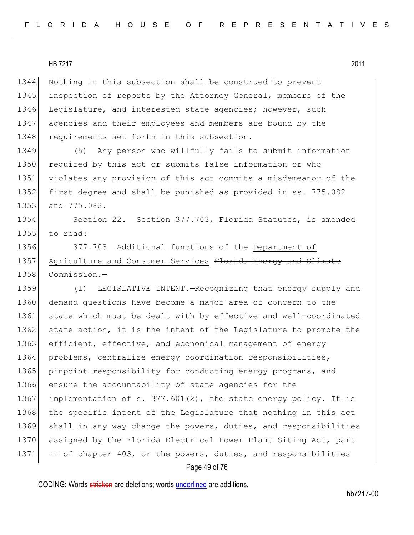1344 Nothing in this subsection shall be construed to prevent 1345 inspection of reports by the Attorney General, members of the 1346 Legislature, and interested state agencies; however, such 1347 agencies and their employees and members are bound by the 1348 requirements set forth in this subsection.

 (5) Any person who willfully fails to submit information 1350 required by this act or submits false information or who violates any provision of this act commits a misdemeanor of the first degree and shall be punished as provided in ss. 775.082 and 775.083.

1354 Section 22. Section 377.703, Florida Statutes, is amended 1355 to read:

1356 377.703 Additional functions of the Department of 1357 Agriculture and Consumer Services Florida Energy and Climate 1358 <del>Commission</del>.

1359 (1) LEGISLATIVE INTENT.—Recognizing that energy supply and 1360 demand questions have become a major area of concern to the 1361 state which must be dealt with by effective and well-coordinated 1362 state action, it is the intent of the Legislature to promote the 1363 efficient, effective, and economical management of energy 1364 problems, centralize energy coordination responsibilities, 1365 pinpoint responsibility for conducting energy programs, and 1366 ensure the accountability of state agencies for the 1367 implementation of s. 377.601 $(2)$ , the state energy policy. It is 1368 the specific intent of the Legislature that nothing in this act 1369 shall in any way change the powers, duties, and responsibilities 1370 assigned by the Florida Electrical Power Plant Siting Act, part 1371 II of chapter 403, or the powers, duties, and responsibilities

#### Page 49 of 76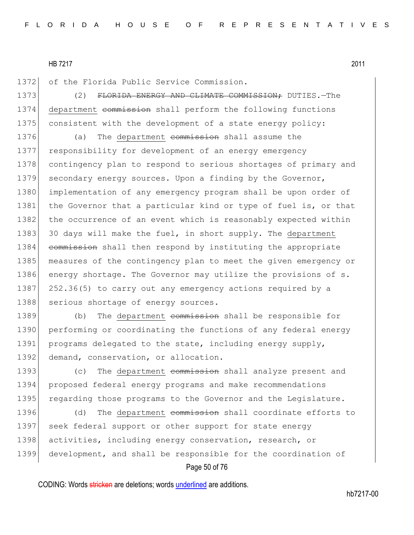1372 of the Florida Public Service Commission.

1373 (2) FLORIDA ENERGY AND CLIMATE COMMISSION; DUTIES. The 1374 department commission shall perform the following functions 1375 consistent with the development of a state energy policy:

1376 (a) The department commission shall assume the 1377 responsibility for development of an energy emergency 1378 contingency plan to respond to serious shortages of primary and 1379 secondary energy sources. Upon a finding by the Governor, 1380 implementation of any emergency program shall be upon order of 1381 the Governor that a particular kind or type of fuel is, or that 1382 the occurrence of an event which is reasonably expected within 1383 30 days will make the fuel, in short supply. The department 1384 commission shall then respond by instituting the appropriate 1385 measures of the contingency plan to meet the given emergency or 1386 energy shortage. The Governor may utilize the provisions of s. 1387 252.36(5) to carry out any emergency actions required by a 1388 serious shortage of energy sources.

1389 (b) The department commission shall be responsible for 1390 performing or coordinating the functions of any federal energy 1391 programs delegated to the state, including energy supply, 1392 demand, conservation, or allocation.

1393 (c) The department commission shall analyze present and 1394 proposed federal energy programs and make recommendations 1395 regarding those programs to the Governor and the Legislature.

1396 (d) The department commission shall coordinate efforts to 1397 seek federal support or other support for state energy 1398 activities, including energy conservation, research, or 1399 development, and shall be responsible for the coordination of

## Page 50 of 76

CODING: Words stricken are deletions; words underlined are additions.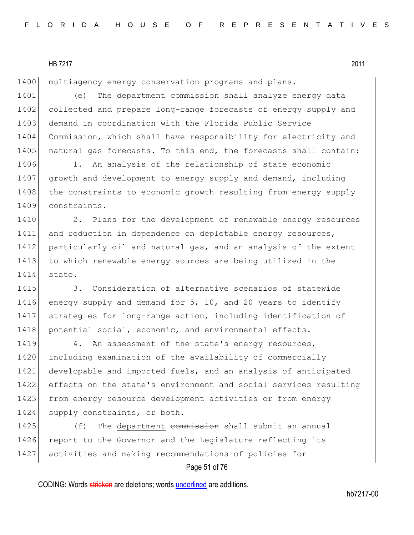1400 multiagency energy conservation programs and plans.

1401 (e) The department commission shall analyze energy data 1402 collected and prepare long-range forecasts of energy supply and 1403 demand in coordination with the Florida Public Service 1404 Commission, which shall have responsibility for electricity and 1405 natural gas forecasts. To this end, the forecasts shall contain:

1406 1. An analysis of the relationship of state economic 1407 growth and development to energy supply and demand, including 1408 the constraints to economic growth resulting from energy supply 1409 constraints.

1410 2. Plans for the development of renewable energy resources 1411 and reduction in dependence on depletable energy resources, 1412 particularly oil and natural gas, and an analysis of the extent 1413 to which renewable energy sources are being utilized in the 1414 state.

1415 3. Consideration of alternative scenarios of statewide 1416 energy supply and demand for  $5$ , 10, and 20 years to identify 1417 strategies for long-range action, including identification of 1418 potential social, economic, and environmental effects.

1419 4. An assessment of the state's energy resources, 1420 including examination of the availability of commercially 1421 developable and imported fuels, and an analysis of anticipated 1422 effects on the state's environment and social services resulting 1423 from energy resource development activities or from energy 1424 supply constraints, or both.

1425 (f) The department commission shall submit an annual 1426 report to the Governor and the Legislature reflecting its 1427 activities and making recommendations of policies for

## Page 51 of 76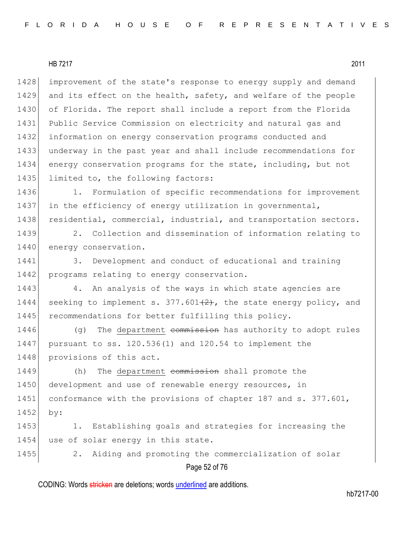1428 improvement of the state's response to energy supply and demand 1429 and its effect on the health, safety, and welfare of the people of Florida. The report shall include a report from the Florida Public Service Commission on electricity and natural gas and information on energy conservation programs conducted and underway in the past year and shall include recommendations for energy conservation programs for the state, including, but not 1435 limited to, the following factors:

1436 1. Formulation of specific recommendations for improvement 1437 in the efficiency of energy utilization in governmental, 1438 residential, commercial, industrial, and transportation sectors.

1439 2. Collection and dissemination of information relating to 1440 energy conservation.

1441 3. Development and conduct of educational and training 1442 programs relating to energy conservation.

1443 4. An analysis of the ways in which state agencies are 1444 seeking to implement s.  $377.601(2)$ , the state energy policy, and 1445 recommendations for better fulfilling this policy.

1446 (g) The department commission has authority to adopt rules 1447 pursuant to ss. 120.536(1) and 120.54 to implement the 1448 provisions of this act.

1449 (h) The department commission shall promote the 1450 development and use of renewable energy resources, in 1451 conformance with the provisions of chapter 187 and s. 377.601, 1452 by:

1453 1. Establishing goals and strategies for increasing the 1454 use of solar energy in this state.

1455 2. Aiding and promoting the commercialization of solar

Page 52 of 76

CODING: Words stricken are deletions; words underlined are additions.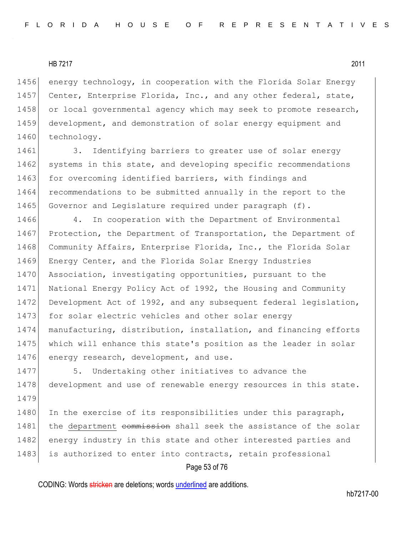1456 energy technology, in cooperation with the Florida Solar Energy 1457 Center, Enterprise Florida, Inc., and any other federal, state, 1458 or local governmental agency which may seek to promote research, 1459 development, and demonstration of solar energy equipment and 1460 technology.

1461 3. Identifying barriers to greater use of solar energy 1462 systems in this state, and developing specific recommendations 1463 for overcoming identified barriers, with findings and 1464 recommendations to be submitted annually in the report to the 1465 Governor and Legislature required under paragraph (f).

1466 4. In cooperation with the Department of Environmental 1467 Protection, the Department of Transportation, the Department of 1468 Community Affairs, Enterprise Florida, Inc., the Florida Solar 1469 Energy Center, and the Florida Solar Energy Industries 1470 Association, investigating opportunities, pursuant to the 1471 National Energy Policy Act of 1992, the Housing and Community 1472 Development Act of 1992, and any subsequent federal legislation, 1473 for solar electric vehicles and other solar energy 1474 manufacturing, distribution, installation, and financing efforts 1475 which will enhance this state's position as the leader in solar 1476 energy research, development, and use.

1477 5. Undertaking other initiatives to advance the 1478 development and use of renewable energy resources in this state. 1479

1480 In the exercise of its responsibilities under this paragraph, 1481 the department commission shall seek the assistance of the solar 1482 energy industry in this state and other interested parties and 1483 is authorized to enter into contracts, retain professional

## Page 53 of 76

CODING: Words stricken are deletions; words underlined are additions.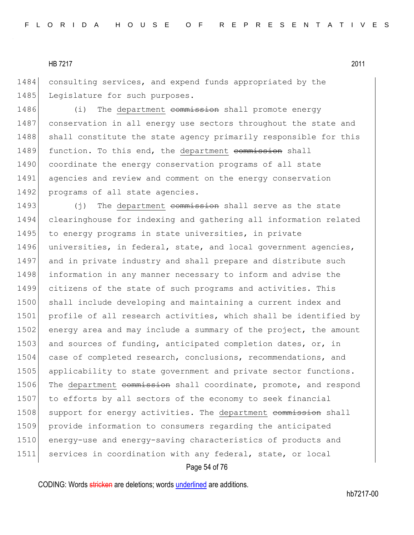1484 consulting services, and expend funds appropriated by the 1485 Legislature for such purposes.

1486 (i) The department commission shall promote energy 1487 conservation in all energy use sectors throughout the state and 1488 shall constitute the state agency primarily responsible for this 1489 function. To this end, the department commission shall 1490 coordinate the energy conservation programs of all state 1491 agencies and review and comment on the energy conservation 1492 programs of all state agencies.

1493 (j) The department commission shall serve as the state 1494 clearinghouse for indexing and gathering all information related 1495 to energy programs in state universities, in private 1496 universities, in federal, state, and local government agencies, 1497 and in private industry and shall prepare and distribute such 1498 information in any manner necessary to inform and advise the 1499 citizens of the state of such programs and activities. This 1500 shall include developing and maintaining a current index and 1501 profile of all research activities, which shall be identified by 1502 energy area and may include a summary of the project, the amount 1503 and sources of funding, anticipated completion dates, or, in 1504 case of completed research, conclusions, recommendations, and 1505 applicability to state government and private sector functions. 1506 The department commission shall coordinate, promote, and respond 1507 to efforts by all sectors of the economy to seek financial 1508 support for energy activities. The department commission shall 1509 provide information to consumers regarding the anticipated 1510 energy-use and energy-saving characteristics of products and 1511 services in coordination with any federal, state, or local

#### Page 54 of 76

CODING: Words stricken are deletions; words underlined are additions.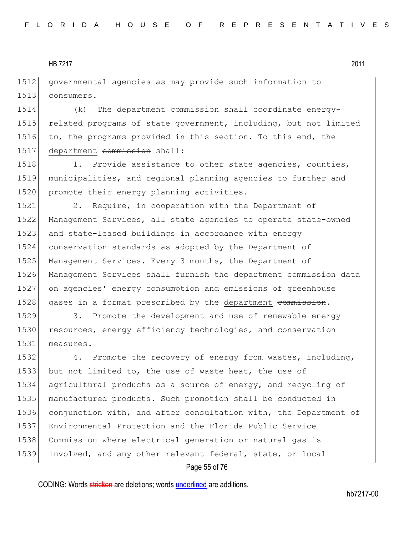1512 governmental agencies as may provide such information to 1513 consumers.

1514 (k) The department commission shall coordinate energy-1515 related programs of state government, including, but not limited 1516 to, the programs provided in this section. To this end, the 1517 department commission shall:

1518 1. Provide assistance to other state agencies, counties, 1519 municipalities, and regional planning agencies to further and 1520 promote their energy planning activities.

1521 2. Require, in cooperation with the Department of 1522 Management Services, all state agencies to operate state-owned 1523 and state-leased buildings in accordance with energy 1524 conservation standards as adopted by the Department of 1525 Management Services. Every 3 months, the Department of 1526 Management Services shall furnish the department commission data 1527 on agencies' energy consumption and emissions of greenhouse 1528 gases in a format prescribed by the department commission.

1529 3. Promote the development and use of renewable energy 1530 resources, energy efficiency technologies, and conservation 1531 measures.

1532 4. Promote the recovery of energy from wastes, including, 1533 but not limited to, the use of waste heat, the use of agricultural products as a source of energy, and recycling of manufactured products. Such promotion shall be conducted in 1536 conjunction with, and after consultation with, the Department of Environmental Protection and the Florida Public Service Commission where electrical generation or natural gas is involved, and any other relevant federal, state, or local

#### Page 55 of 76

CODING: Words stricken are deletions; words underlined are additions.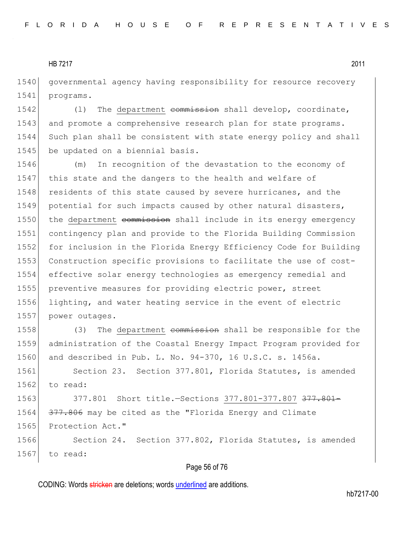1540 governmental agency having responsibility for resource recovery 1541 programs.

1542 (1) The department commission shall develop, coordinate, 1543 and promote a comprehensive research plan for state programs. 1544 Such plan shall be consistent with state energy policy and shall 1545 be updated on a biennial basis.

1546 (m) In recognition of the devastation to the economy of 1547 this state and the dangers to the health and welfare of 1548 residents of this state caused by severe hurricanes, and the 1549 potential for such impacts caused by other natural disasters, 1550 the department commission shall include in its energy emergency 1551 contingency plan and provide to the Florida Building Commission 1552 for inclusion in the Florida Energy Efficiency Code for Building 1553 Construction specific provisions to facilitate the use of cost-1554 effective solar energy technologies as emergency remedial and 1555 preventive measures for providing electric power, street 1556 lighting, and water heating service in the event of electric 1557 power outages.

1558 (3) The department commission shall be responsible for the 1559 administration of the Coastal Energy Impact Program provided for 1560 and described in Pub. L. No. 94-370, 16 U.S.C. s. 1456a.

1561 Section 23. Section 377.801, Florida Statutes, is amended 1562 to read:

1563 377.801 Short title. Sections 377.801-377.807 377.801-1564 377.806 may be cited as the "Florida Energy and Climate 1565 Protection Act."

1566 Section 24. Section 377.802, Florida Statutes, is amended 1567 to read:

#### Page 56 of 76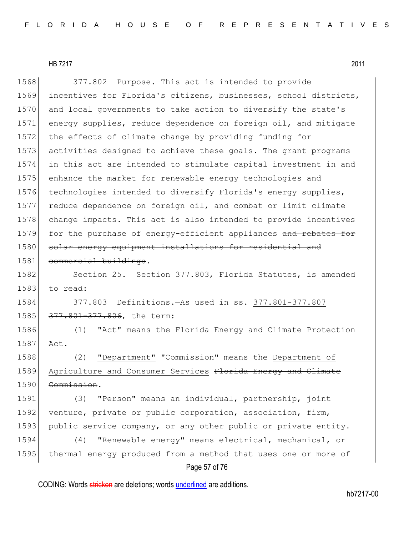Page 57 of 76 1568 377.802 Purpose.—This act is intended to provide 1569 incentives for Florida's citizens, businesses, school districts, 1570 and local governments to take action to diversify the state's 1571 energy supplies, reduce dependence on foreign oil, and mitigate 1572 the effects of climate change by providing funding for 1573 activities designed to achieve these goals. The grant programs 1574 in this act are intended to stimulate capital investment in and 1575 enhance the market for renewable energy technologies and 1576 technologies intended to diversify Florida's energy supplies, 1577 reduce dependence on foreign oil, and combat or limit climate 1578 change impacts. This act is also intended to provide incentives 1579 for the purchase of energy-efficient appliances and rebates for 1580 solar energy equipment installations for residential and 1581 commercial buildings. 1582 Section 25. Section 377.803, Florida Statutes, is amended  $1583$  to read: 1584 377.803 Definitions.—As used in ss. 377.801-377.807 1585 377.801-377.806, the term: 1586 (1) "Act" means the Florida Energy and Climate Protection 1587 Act. 1588 (2) "Department" "Commission" means the Department of 1589 Agriculture and Consumer Services Florida Energy and Climate 1590 Commission. 1591 (3) "Person" means an individual, partnership, joint 1592 venture, private or public corporation, association, firm, 1593 public service company, or any other public or private entity. 1594 (4) "Renewable energy" means electrical, mechanical, or 1595 thermal energy produced from a method that uses one or more of

CODING: Words stricken are deletions; words underlined are additions.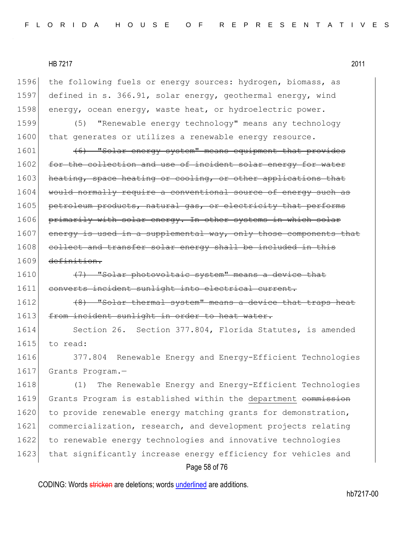1596 the following fuels or energy sources: hydrogen, biomass, as 1597 defined in s. 366.91, solar energy, geothermal energy, wind 1598 energy, ocean energy, waste heat, or hydroelectric power. 1599 (5) "Renewable energy technology" means any technology 1600 that generates or utilizes a renewable energy resource.  $1601$  (6) "Solar energy system" means equipment that provides 1602 for the collection and use of incident solar energy for water 1603 heating, space heating or cooling, or other applications that 1604 would normally require a conventional source of energy such as 1605 petroleum products, natural gas, or electricity that performs 1606 primarily with solar energy. In other systems in which solar 1607 energy is used in a supplemental way, only those components that 1608 collect and transfer solar energy shall be included in this 1609 definition. 1610  $(7)$  "Solar photovoltaic system" means a device that 1611 converts incident sunlight into electrical current. 1612 (8) "Solar thermal system" means a device that traps heat 1613 from incident sunlight in order to heat water. 1614 Section 26. Section 377.804, Florida Statutes, is amended 1615 to read: 1616 377.804 Renewable Energy and Energy-Efficient Technologies 1617 Grants Program.-1618 (1) The Renewable Energy and Energy-Efficient Technologies 1619 Grants Program is established within the department commission 1620 to provide renewable energy matching grants for demonstration, 1621 commercialization, research, and development projects relating 1622 to renewable energy technologies and innovative technologies 1623 that significantly increase energy efficiency for vehicles and

Page 58 of 76

CODING: Words stricken are deletions; words underlined are additions.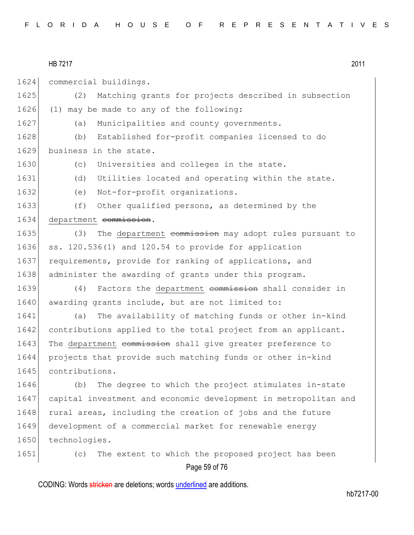1624 commercial buildings.

1625 (2) Matching grants for projects described in subsection 1626 (1) may be made to any of the following: 1627 (a) Municipalities and county governments. 1628 (b) Established for-profit companies licensed to do 1629 business in the state. 1630 (c) Universities and colleges in the state. 1631 (d) Utilities located and operating within the state. 1632 (e) Not-for-profit organizations. 1633 (f) Other qualified persons, as determined by the 1634 department commission. 1635 (3) The department commission may adopt rules pursuant to 1636 ss.  $120.536(1)$  and  $120.54$  to provide for application 1637 requirements, provide for ranking of applications, and 1638 administer the awarding of grants under this program. 1639 (4) Factors the department commission shall consider in 1640 awarding grants include, but are not limited to: 1641 (a) The availability of matching funds or other in-kind 1642 contributions applied to the total project from an applicant. 1643 The department commission shall give greater preference to 1644 projects that provide such matching funds or other in-kind 1645 contributions. 1646 (b) The degree to which the project stimulates in-state 1647 capital investment and economic development in metropolitan and 1648 rural areas, including the creation of jobs and the future 1649 development of a commercial market for renewable energy 1650 technologies. 1651 (c) The extent to which the proposed project has been

Page 59 of 76

CODING: Words stricken are deletions; words underlined are additions.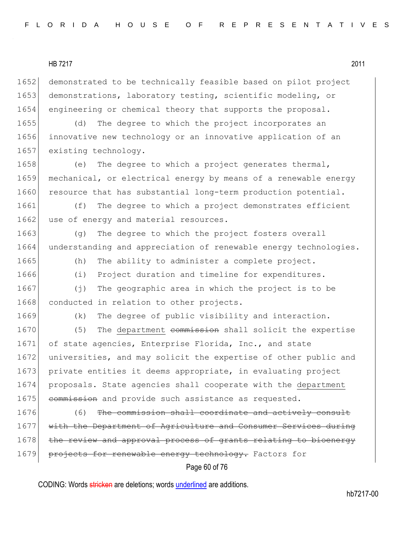1652 demonstrated to be technically feasible based on pilot project 1653 demonstrations, laboratory testing, scientific modeling, or 1654 engineering or chemical theory that supports the proposal.

1655 (d) The degree to which the project incorporates an 1656 innovative new technology or an innovative application of an 1657 existing technology.

1658 (e) The degree to which a project generates thermal, 1659 mechanical, or electrical energy by means of a renewable energy 1660 resource that has substantial long-term production potential.

1661 (f) The degree to which a project demonstrates efficient 1662 use of energy and material resources.

1663 (g) The degree to which the project fosters overall 1664 understanding and appreciation of renewable energy technologies.

1665 (h) The ability to administer a complete project.

1666 (i) Project duration and timeline for expenditures.

1667 (j) The geographic area in which the project is to be 1668 conducted in relation to other projects.

1669 (k) The degree of public visibility and interaction.

1670 (5) The department commission shall solicit the expertise 1671 of state agencies, Enterprise Florida, Inc., and state 1672 universities, and may solicit the expertise of other public and 1673 private entities it deems appropriate, in evaluating project 1674 proposals. State agencies shall cooperate with the department 1675 commission and provide such assistance as requested.

1676 (6) The commission shall coordinate and actively consult 1677 with the Department of Agriculture and Consumer Services during 1678 the review and approval process of grants relating to bioenergy 1679 projects for renewable energy technology. Factors for

# Page 60 of 76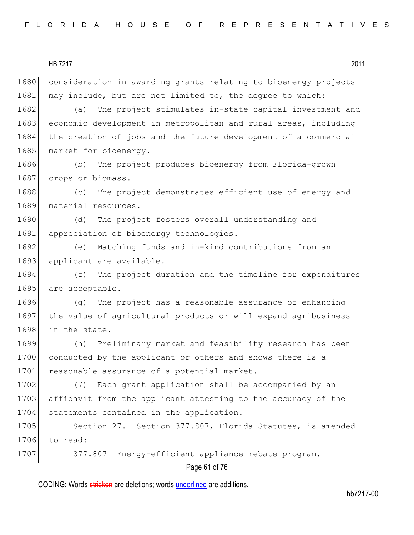1680 consideration in awarding grants relating to bioenergy projects 1681 may include, but are not limited to, the degree to which:

1682 (a) The project stimulates in-state capital investment and 1683 economic development in metropolitan and rural areas, including 1684 the creation of jobs and the future development of a commercial 1685 market for bioenergy.

1686 (b) The project produces bioenergy from Florida-grown 1687 crops or biomass.

1688 (c) The project demonstrates efficient use of energy and 1689 material resources.

1690 (d) The project fosters overall understanding and 1691 appreciation of bioenergy technologies.

1692 (e) Matching funds and in-kind contributions from an 1693 applicant are available.

1694 (f) The project duration and the timeline for expenditures 1695 are acceptable.

1696 (g) The project has a reasonable assurance of enhancing 1697 the value of agricultural products or will expand agribusiness 1698 in the state.

1699 (h) Preliminary market and feasibility research has been 1700 conducted by the applicant or others and shows there is a 1701 reasonable assurance of a potential market.

1702 (7) Each grant application shall be accompanied by an 1703 affidavit from the applicant attesting to the accuracy of the 1704 statements contained in the application.

1705 Section 27. Section 377.807, Florida Statutes, is amended 1706 to read:

1707 377.807 Energy-efficient appliance rebate program.

# Page 61 of 76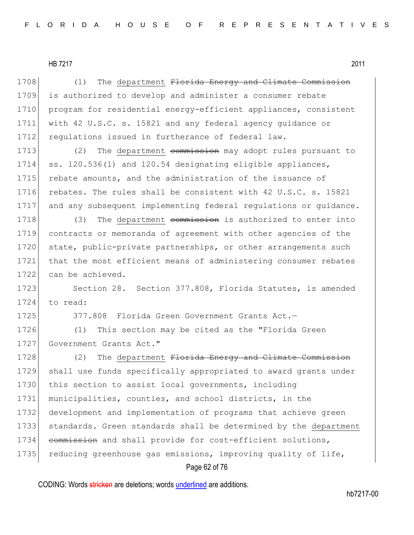1708 (1) The department Florida Energy and Climate Commission 1709 is authorized to develop and administer a consumer rebate 1710 program for residential energy-efficient appliances, consistent 1711 with 42 U.S.C. s. 15821 and any federal agency guidance or 1712 regulations issued in furtherance of federal law.

1713 (2) The department commission may adopt rules pursuant to 1714 ss. 120.536(1) and 120.54 designating eligible appliances, 1715 rebate amounts, and the administration of the issuance of 1716 rebates. The rules shall be consistent with 42 U.S.C. s. 15821 1717 and any subsequent implementing federal regulations or guidance.

1718 (3) The department commission is authorized to enter into 1719 contracts or memoranda of agreement with other agencies of the 1720 state, public-private partnerships, or other arrangements such 1721 that the most efficient means of administering consumer rebates 1722 can be achieved.

1723 Section 28. Section 377.808, Florida Statutes, is amended 1724 to read:

1725 377.808 Florida Green Government Grants Act.-

1726 (1) This section may be cited as the "Florida Green 1727 Government Grants Act."

1728 (2) The department Florida Energy and Climate Commission 1729 shall use funds specifically appropriated to award grants under 1730 this section to assist local governments, including 1731 municipalities, counties, and school districts, in the 1732 development and implementation of programs that achieve green 1733 standards. Green standards shall be determined by the department 1734 commission and shall provide for cost-efficient solutions, 1735 reducing greenhouse gas emissions, improving quality of life,

## Page 62 of 76

CODING: Words stricken are deletions; words underlined are additions.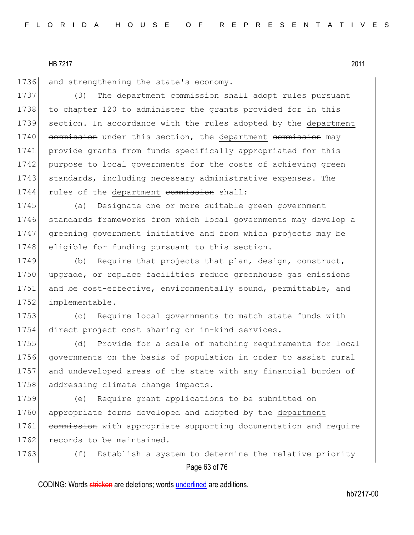1736 and strengthening the state's economy.

1737 (3) The department commission shall adopt rules pursuant 1738 to chapter 120 to administer the grants provided for in this 1739 section. In accordance with the rules adopted by the department 1740 commission under this section, the department commission may 1741 provide grants from funds specifically appropriated for this 1742 purpose to local governments for the costs of achieving green 1743 standards, including necessary administrative expenses. The 1744 rules of the department commission shall:

1745 (a) Designate one or more suitable green government 1746 standards frameworks from which local governments may develop a 1747 greening government initiative and from which projects may be 1748 eligible for funding pursuant to this section.

1749 (b) Require that projects that plan, design, construct, 1750 upgrade, or replace facilities reduce greenhouse gas emissions 1751 and be cost-effective, environmentally sound, permittable, and 1752 implementable.

1753 (c) Require local governments to match state funds with 1754 direct project cost sharing or in-kind services.

1755 (d) Provide for a scale of matching requirements for local 1756 governments on the basis of population in order to assist rural 1757 and undeveloped areas of the state with any financial burden of 1758 addressing climate change impacts.

1759 (e) Require grant applications to be submitted on 1760 appropriate forms developed and adopted by the department 1761 commission with appropriate supporting documentation and require 1762 records to be maintained.

Page 63 of 76 1763 (f) Establish a system to determine the relative priority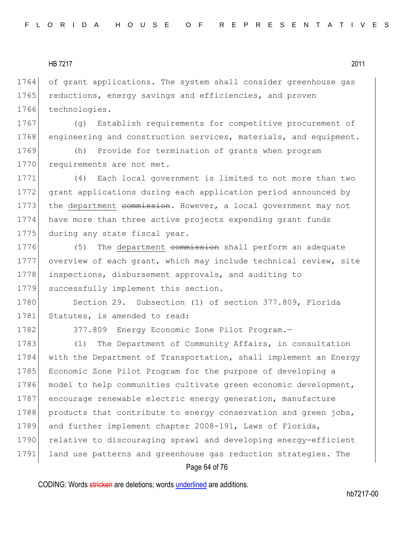1764 of grant applications. The system shall consider greenhouse gas 1765 reductions, energy savings and efficiencies, and proven 1766 technologies.

1767 (g) Establish requirements for competitive procurement of 1768 engineering and construction services, materials, and equipment.

1769 (h) Provide for termination of grants when program 1770 requirements are not met.

1771 (4) Each local government is limited to not more than two 1772 grant applications during each application period announced by 1773 the department commission. However, a local government may not 1774 have more than three active projects expending grant funds 1775 during any state fiscal year.

1776 (5) The department commission shall perform an adequate 1777 overview of each grant, which may include technical review, site 1778 inspections, disbursement approvals, and auditing to 1779 successfully implement this section.

1780 Section 29. Subsection (1) of section 377.809, Florida 1781 Statutes, is amended to read:

1782 377.809 Energy Economic Zone Pilot Program.

1783 (1) The Department of Community Affairs, in consultation 1784 with the Department of Transportation, shall implement an Energy 1785 Economic Zone Pilot Program for the purpose of developing a 1786 model to help communities cultivate green economic development, 1787 encourage renewable electric energy generation, manufacture 1788 products that contribute to energy conservation and green jobs, 1789 and further implement chapter 2008-191, Laws of Florida, 1790 relative to discouraging sprawl and developing energy-efficient 1791 land use patterns and greenhouse gas reduction strategies. The

#### Page 64 of 76

CODING: Words stricken are deletions; words underlined are additions.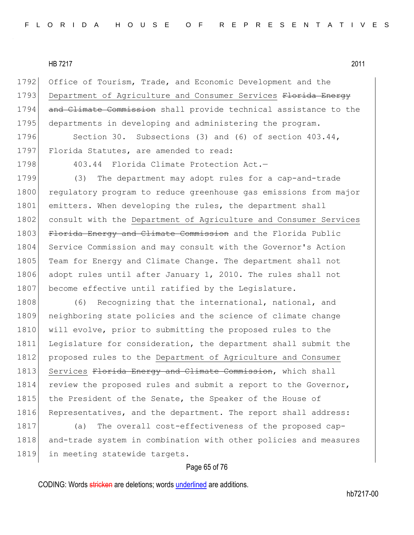1792 Office of Tourism, Trade, and Economic Development and the 1793 Department of Agriculture and Consumer Services Florida Energy 1794 and Climate Commission shall provide technical assistance to the 1795 departments in developing and administering the program.

1796 Section 30. Subsections (3) and (6) of section 403.44, 1797 Florida Statutes, are amended to read:

1798 403.44 Florida Climate Protection Act.

1799 (3) The department may adopt rules for a cap-and-trade 1800 regulatory program to reduce greenhouse gas emissions from major 1801 emitters. When developing the rules, the department shall 1802 consult with the Department of Agriculture and Consumer Services 1803 Florida Energy and Climate Commission and the Florida Public 1804 Service Commission and may consult with the Governor's Action 1805 Team for Energy and Climate Change. The department shall not 1806 adopt rules until after January 1, 2010. The rules shall not 1807 become effective until ratified by the Legislature.

1808 (6) Recognizing that the international, national, and 1809 neighboring state policies and the science of climate change 1810 will evolve, prior to submitting the proposed rules to the 1811 Legislature for consideration, the department shall submit the 1812 proposed rules to the Department of Agriculture and Consumer 1813 Services Florida Energy and Climate Commission, which shall 1814 review the proposed rules and submit a report to the Governor, 1815 the President of the Senate, the Speaker of the House of 1816 Representatives, and the department. The report shall address:

1817 (a) The overall cost-effectiveness of the proposed cap-1818 and-trade system in combination with other policies and measures 1819 in meeting statewide targets.

#### Page 65 of 76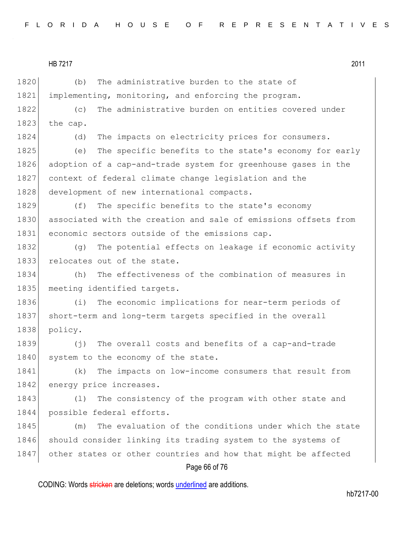HB 7217 2011 1820 (b) The administrative burden to the state of 1821 implementing, monitoring, and enforcing the program. 1822 (c) The administrative burden on entities covered under 1823 the cap. 1824 (d) The impacts on electricity prices for consumers. 1825 (e) The specific benefits to the state's economy for early 1826 adoption of a cap-and-trade system for greenhouse gases in the 1827 context of federal climate change legislation and the 1828 development of new international compacts. 1829 (f) The specific benefits to the state's economy 1830 associated with the creation and sale of emissions offsets from 1831 economic sectors outside of the emissions cap. 1832 (g) The potential effects on leakage if economic activity 1833 relocates out of the state. 1834 (h) The effectiveness of the combination of measures in 1835 meeting identified targets. 1836 (i) The economic implications for near-term periods of 1837 short-term and long-term targets specified in the overall 1838 policy. 1839 (j) The overall costs and benefits of a cap-and-trade 1840 system to the economy of the state. 1841 (k) The impacts on low-income consumers that result from 1842 energy price increases. 1843 (1) The consistency of the program with other state and 1844 possible federal efforts. 1845 (m) The evaluation of the conditions under which the state 1846 should consider linking its trading system to the systems of 1847 other states or other countries and how that might be affected

# Page 66 of 76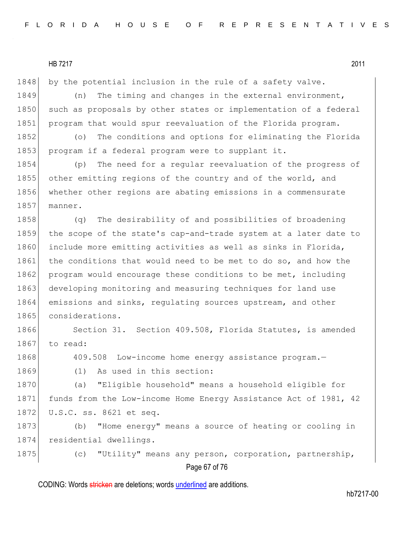1848 by the potential inclusion in the rule of a safety valve.

1849 (n) The timing and changes in the external environment, 1850 such as proposals by other states or implementation of a federal 1851 program that would spur reevaluation of the Florida program.

1852 (o) The conditions and options for eliminating the Florida 1853 program if a federal program were to supplant it.

1854 (p) The need for a regular reevaluation of the progress of 1855 other emitting regions of the country and of the world, and 1856 whether other regions are abating emissions in a commensurate 1857 manner.

1858 (q) The desirability of and possibilities of broadening 1859 the scope of the state's cap-and-trade system at a later date to 1860 include more emitting activities as well as sinks in Florida, 1861 the conditions that would need to be met to do so, and how the 1862 program would encourage these conditions to be met, including 1863 developing monitoring and measuring techniques for land use 1864 emissions and sinks, regulating sources upstream, and other 1865 considerations.

1866 Section 31. Section 409.508, Florida Statutes, is amended  $1867$  to read:

1868 409.508 Low-income home energy assistance program.

1869 (1) As used in this section:

1870 (a) "Eligible household" means a household eligible for 1871 funds from the Low-income Home Energy Assistance Act of 1981, 42 1872 U.S.C. ss. 8621 et seq.

1873 (b) "Home energy" means a source of heating or cooling in 1874 residential dwellings.

Page 67 of 76 1875 (c) "Utility" means any person, corporation, partnership,

CODING: Words stricken are deletions; words underlined are additions.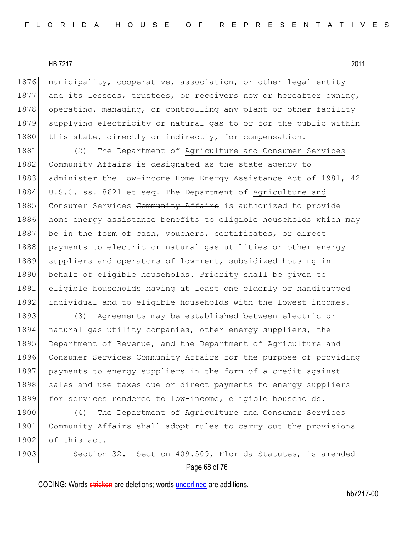1876 municipality, cooperative, association, or other legal entity 1877 and its lessees, trustees, or receivers now or hereafter owning, 1878 operating, managing, or controlling any plant or other facility 1879 supplying electricity or natural gas to or for the public within 1880 this state, directly or indirectly, for compensation.

1881 (2) The Department of Agriculture and Consumer Services 1882 Community Affairs is designated as the state agency to 1883 administer the Low-income Home Energy Assistance Act of 1981, 42 1884 U.S.C. ss. 8621 et seq. The Department of Agriculture and 1885 Consumer Services Community Affairs is authorized to provide 1886 home energy assistance benefits to eligible households which may 1887 be in the form of cash, vouchers, certificates, or direct 1888 payments to electric or natural gas utilities or other energy 1889 suppliers and operators of low-rent, subsidized housing in 1890 behalf of eligible households. Priority shall be given to 1891 eligible households having at least one elderly or handicapped 1892 individual and to eligible households with the lowest incomes.

1893 (3) Agreements may be established between electric or 1894 natural gas utility companies, other energy suppliers, the 1895 Department of Revenue, and the Department of Agriculture and 1896 Consumer Services Community Affairs for the purpose of providing 1897 payments to energy suppliers in the form of a credit against 1898 sales and use taxes due or direct payments to energy suppliers 1899 for services rendered to low-income, eligible households.

1900 (4) The Department of Agriculture and Consumer Services 1901 Community Affairs shall adopt rules to carry out the provisions 1902 of this act.

Page 68 of 76 1903 Section 32. Section 409.509, Florida Statutes, is amended

CODING: Words stricken are deletions; words underlined are additions.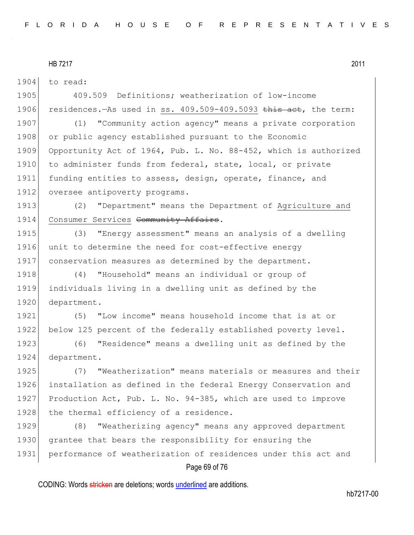1904 to read:

1905 409.509 Definitions; weatherization of low-income 1906 residences.—As used in ss. 409.509-409.5093 this act, the term: 1907 (1) "Community action agency" means a private corporation 1908 or public agency established pursuant to the Economic 1909 Opportunity Act of 1964, Pub. L. No. 88-452, which is authorized

1910 to administer funds from federal, state, local, or private 1911 funding entities to assess, design, operate, finance, and 1912 oversee antipoverty programs.

1913 (2) "Department" means the Department of Agriculture and 1914 Consumer Services Community Affairs.

1915 (3) "Energy assessment" means an analysis of a dwelling 1916 unit to determine the need for cost-effective energy 1917 conservation measures as determined by the department.

1918 (4) "Household" means an individual or group of 1919 individuals living in a dwelling unit as defined by the 1920 department.

1921 (5) "Low income" means household income that is at or 1922 below 125 percent of the federally established poverty level.

1923 (6) "Residence" means a dwelling unit as defined by the 1924 department.

 (7) "Weatherization" means materials or measures and their installation as defined in the federal Energy Conservation and Production Act, Pub. L. No. 94-385, which are used to improve 1928 the thermal efficiency of a residence.

1929 (8) "Weatherizing agency" means any approved department 1930 grantee that bears the responsibility for ensuring the 1931 performance of weatherization of residences under this act and

## Page 69 of 76

CODING: Words stricken are deletions; words underlined are additions.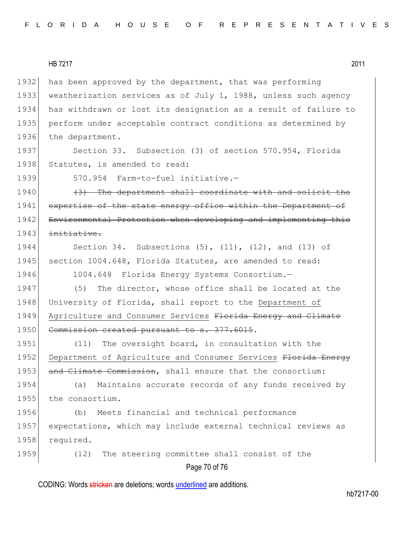1932 has been approved by the department, that was performing 1933 weatherization services as of July 1, 1988, unless such agency 1934 has withdrawn or lost its designation as a result of failure to 1935 perform under acceptable contract conditions as determined by 1936 the department.

1937 Section 33. Subsection (3) of section 570.954, Florida 1938 Statutes, is amended to read:

1939 570.954 Farm-to-fuel initiative.-

1940 (3) The department shall coordinate with and solicit the 1941 expertise of the state energy office within the Department of 1942 Environmental Protection when developing and implementing this  $1943$  initiative.

1944 Section 34. Subsections (5), (11), (12), and (13) of 1945 section 1004.648, Florida Statutes, are amended to read:

1946 1004.648 Florida Energy Systems Consortium.

1947 (5) The director, whose office shall be located at the 1948 University of Florida, shall report to the Department of 1949 Agriculture and Consumer Services Florida Energy and Climate 1950 Commission created pursuant to s. 377.6015.

1951 (11) The oversight board, in consultation with the 1952 Department of Agriculture and Consumer Services Florida Energy 1953 and Climate Commission, shall ensure that the consortium:

1954 (a) Maintains accurate records of any funds received by 1955 the consortium.

1956 (b) Meets financial and technical performance 1957 expectations, which may include external technical reviews as 1958 required.

1959 (12) The steering committee shall consist of the

# Page 70 of 76

CODING: Words stricken are deletions; words underlined are additions.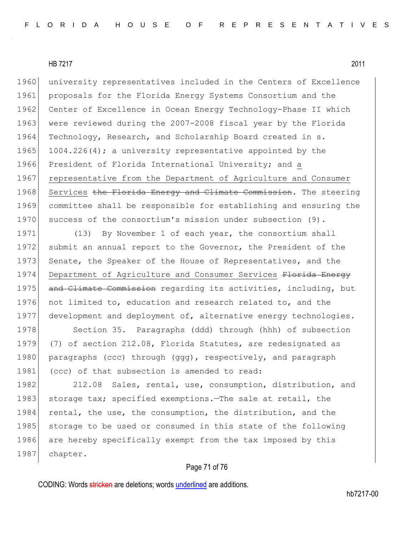1960 university representatives included in the Centers of Excellence 1961 proposals for the Florida Energy Systems Consortium and the 1962 Center of Excellence in Ocean Energy Technology-Phase II which 1963 were reviewed during the 2007-2008 fiscal year by the Florida 1964 Technology, Research, and Scholarship Board created in s. 1965 1004.226(4); a university representative appointed by the 1966 President of Florida International University; and a 1967 representative from the Department of Agriculture and Consumer 1968 Services the Florida Energy and Climate Commission. The steering 1969 committee shall be responsible for establishing and ensuring the 1970 success of the consortium's mission under subsection (9).

1971 (13) By November 1 of each year, the consortium shall 1972 submit an annual report to the Governor, the President of the 1973 Senate, the Speaker of the House of Representatives, and the 1974 Department of Agriculture and Consumer Services Florida Energy 1975 and Climate Commission regarding its activities, including, but 1976 not limited to, education and research related to, and the 1977 development and deployment of, alternative energy technologies.

1978 Section 35. Paragraphs (ddd) through (hhh) of subsection 1979 (7) of section 212.08, Florida Statutes, are redesignated as 1980 paragraphs (ccc) through (ggg), respectively, and paragraph 1981 (ccc) of that subsection is amended to read:

1982 212.08 Sales, rental, use, consumption, distribution, and 1983 storage tax; specified exemptions.—The sale at retail, the 1984 rental, the use, the consumption, the distribution, and the 1985 storage to be used or consumed in this state of the following 1986 are hereby specifically exempt from the tax imposed by this 1987 chapter.

## Page 71 of 76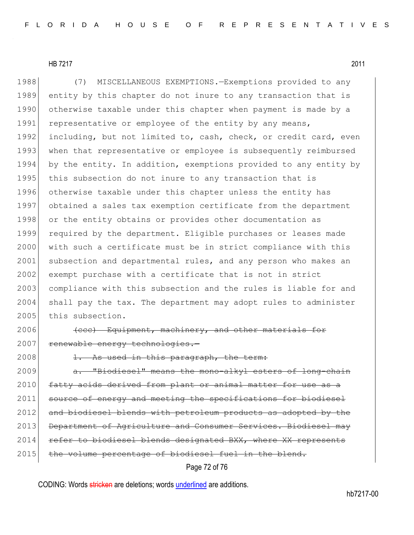1988 (7) MISCELLANEOUS EXEMPTIONS.—Exemptions provided to any 1989 entity by this chapter do not inure to any transaction that is 1990 otherwise taxable under this chapter when payment is made by a 1991 representative or employee of the entity by any means, 1992 including, but not limited to, cash, check, or credit card, even 1993 when that representative or employee is subsequently reimbursed 1994 by the entity. In addition, exemptions provided to any entity by 1995 this subsection do not inure to any transaction that is 1996 otherwise taxable under this chapter unless the entity has 1997 obtained a sales tax exemption certificate from the department 1998 or the entity obtains or provides other documentation as 1999 required by the department. Eligible purchases or leases made 2000 with such a certificate must be in strict compliance with this 2001 subsection and departmental rules, and any person who makes an 2002 exempt purchase with a certificate that is not in strict 2003 compliance with this subsection and the rules is liable for and 2004 shall pay the tax. The department may adopt rules to administer 2005 this subsection.

2006 (ccc) Equipment, machinery, and other materials for 2007 renewable energy technologies.

 $2008$  1. As used in this paragraph, the term:

2009 **a.** "Biodiesel" means the mono-alkyl esters of long-chain 2010 fatty acids derived from plant or animal matter for use as a 2011 source of energy and meeting the specifications for biodiesel 2012 and biodiesel blends with petroleum products as adopted by the 2013 Department of Agriculture and Consumer Services. Biodiesel may 2014 refer to biodiesel blends designated BXX, where XX represents 2015 the volume percentage of biodiesel fuel in the blend.

# Page 72 of 76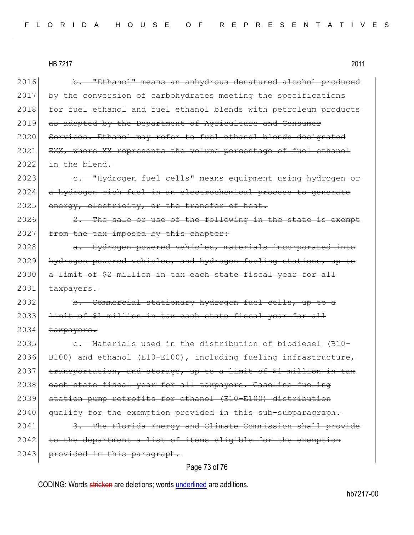| 2011 |
|------|
|      |

2016 b. "Ethanol" means an anhydrous denatured alcohol produced 2017 by the conversion of carbohydrates meeting the specifications 2018 for fuel ethanol and fuel ethanol blends with petroleum products 2019 as adopted by the Department of Agriculture and Consumer 2020 Services. Ethanol may refer to fuel ethanol blends designated 2021 EXX, where XX represents the volume percentage of fuel ethanol  $2022$  in the blend. 2023 c. "Hydrogen fuel cells" means equipment using hydrogen or 2024 a hydrogen-rich fuel in an electrochemical process to generate 2025 energy, electricity, or the transfer of heat.  $2026$  2. The sale or use of the following in the state is exempt 2027 from the tax imposed by this chapter: 2028 **a.** Hydrogen-powered vehicles, materials incorporated into 2029 hydrogen-powered vehicles, and hydrogen-fueling stations, up to 2030 a limit of \$2 million in tax each state fiscal year for all 2031 taxpayers. 2032 b. Commercial stationary hydrogen fuel cells, up to a 2033 limit of \$1 million in tax each state fiscal year for all  $2034$  taxpayers.  $2035$  e. Materials used in the distribution of biodiesel (B10-2036 B100) and ethanol (E10-E100), including fueling infrastructure,  $2037$  transportation, and storage, up to a limit of \$1 million in tax 2038 each state fiscal year for all taxpayers. Gasoline fueling 2039 station pump retrofits for ethanol (E10-E100) distribution 2040 qualify for the exemption provided in this sub-subparagraph. 2041 3. The Florida Energy and Climate Commission shall provide  $2042$  to the department a list of items eligible for the exemption 2043 provided in this paragraph.

## Page 73 of 76

CODING: Words stricken are deletions; words underlined are additions.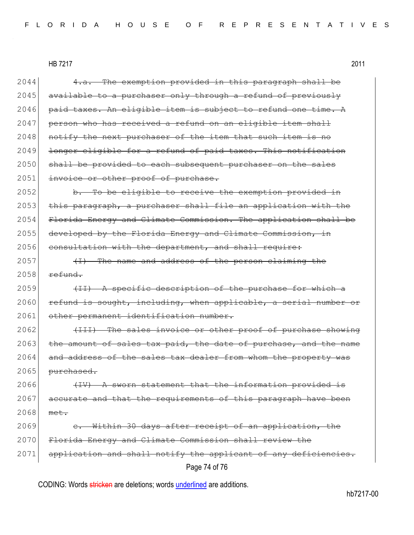HB 7217 2011

| 2044 | The exemption provided in this paragraph shall be<br>4.a.                     |
|------|-------------------------------------------------------------------------------|
| 2045 | available to a purchaser only through a refund of previously                  |
| 2046 | paid taxes. An eligible item is subject to refund one time. A                 |
| 2047 | person who has received a refund on an eligible item shall                    |
| 2048 | notify the next purchaser of the item that such item is no                    |
| 2049 | longer eligible for a refund of paid taxes. This notification                 |
| 2050 | shall be provided to each subsequent purchaser on the sales                   |
| 2051 | invoice or other proof of purchase.                                           |
| 2052 | b. To be eligible to receive the exemption provided in                        |
| 2053 | this paragraph, a purchaser shall file an application with the                |
| 2054 | Florida Energy and Climate Commission. The application shall be               |
| 2055 | developed by the Florida Energy and Climate Commission, in                    |
| 2056 | consultation with the department, and shall require:                          |
| 2057 | (I) The name and address of the person claiming the                           |
| 2058 | refund.                                                                       |
| 2059 | (II) A specific description of the purchase for which a                       |
| 2060 | refund is sought, including, when applicable, a serial number or              |
| 2061 | other permanent identification number.                                        |
| 2062 | (III) The sales invoice or other proof of purchase showing                    |
| 2063 | the amount of sales tax paid, the date of purchase, and the name              |
| 2064 | and address of the sales tax dealer from whom the property was                |
| 2065 | purchased.                                                                    |
| 2066 | A sworn statement that the information provided is                            |
| 2067 | accurate and that the requirements of this paragraph have been                |
| 2068 | met.                                                                          |
| 2069 | Within 30 days after receipt of an application, the                           |
| 2070 | Florida Energy and Climate Commission shall review the                        |
| 2071 | application and shall notify the applicant of any<br><del>deficiencies.</del> |
|      | Page 74 of 76                                                                 |

CODING: Words stricken are deletions; words underlined are additions.

hb7217-00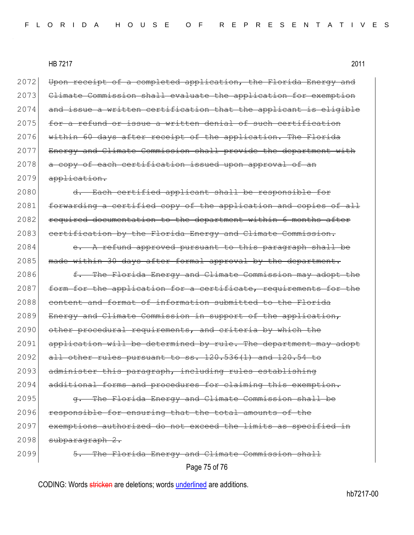HB 7217 2011

Page 75 of 76 2072 Upon receipt of a completed application, the Florida Energy and 2073 Climate Commission shall evaluate the application for exemption  $2074$  and issue a written certification that the applicant is eligible 2075 for a refund or issue a written denial of such certification 2076 within 60 days after receipt of the application. The Florida 2077 Energy and Climate Commission shall provide the department with 2078 a copy of each certification issued upon approval of an 2079 application. 2080 d. Each certified applicant shall be responsible for 2081 forwarding a certified copy of the application and copies of all 2082 required documentation to the department within 6 months after 2083 certification by the Florida Energy and Climate Commission.  $2084$  e. A refund approved pursuant to this paragraph shall be 2085 | made within 30 days after formal approval by the department. 2086 f. The Florida Energy and Climate Commission may adopt the 2087 form for the application for a certificate, requirements for the 2088 content and format of information submitted to the Florida  $2089$  Energy and Climate Commission in support of the application, 2090 other procedural requirements, and criteria by which the 2091 application will be determined by rule. The department may adopt  $2092$  all other rules pursuant to ss.  $120.536(1)$  and  $120.54$  to 2093 administer this paragraph, including rules establishing 2094 additional forms and procedures for claiming this exemption. 2095 **g.** The Florida Energy and Climate Commission shall be 2096 responsible for ensuring that the total amounts of the 2097 exemptions authorized do not exceed the limits as specified in  $2098$  subparagraph  $2.$ 2099 5. The Florida Energy and Climate Commission shall

CODING: Words stricken are deletions; words underlined are additions.